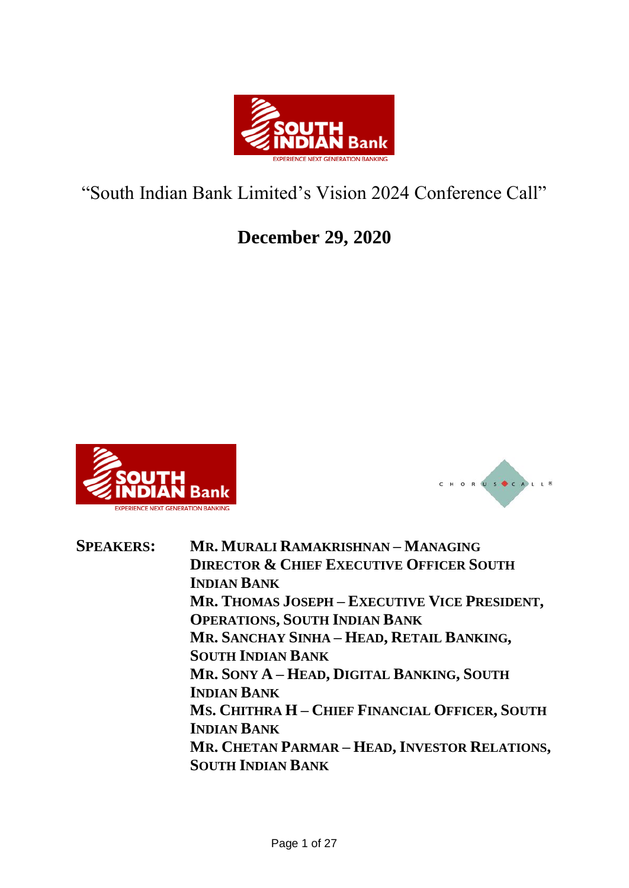

# "South Indian Bank Limited's Vision 2024 Conference Call"

## **December 29, 2020**





**SPEAKERS: MR. MURALI RAMAKRISHNAN – MANAGING DIRECTOR & CHIEF EXECUTIVE OFFICER SOUTH INDIAN BANK MR. THOMAS JOSEPH – EXECUTIVE VICE PRESIDENT, OPERATIONS, SOUTH INDIAN BANK MR. SANCHAY SINHA – HEAD, RETAIL BANKING, SOUTH INDIAN BANK MR. SONY A – HEAD, DIGITAL BANKING, SOUTH INDIAN BANK MS. CHITHRA H – CHIEF FINANCIAL OFFICER, SOUTH INDIAN BANK MR. CHETAN PARMAR – HEAD, INVESTOR RELATIONS, SOUTH INDIAN BANK**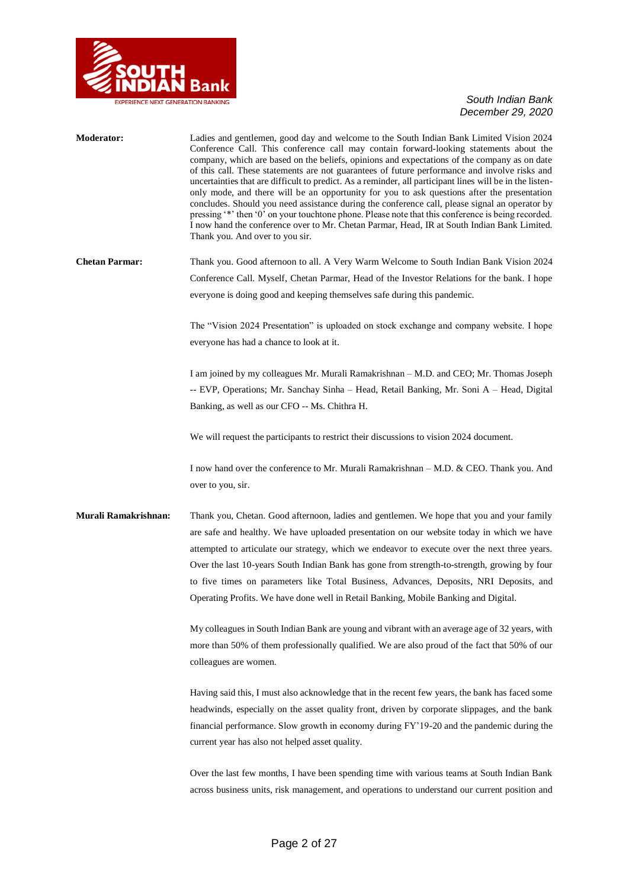

| Moderator:            | Ladies and gentlemen, good day and welcome to the South Indian Bank Limited Vision 2024<br>Conference Call. This conference call may contain forward-looking statements about the<br>company, which are based on the beliefs, opinions and expectations of the company as on date<br>of this call. These statements are not guarantees of future performance and involve risks and<br>uncertainties that are difficult to predict. As a reminder, all participant lines will be in the listen-<br>only mode, and there will be an opportunity for you to ask questions after the presentation<br>concludes. Should you need assistance during the conference call, please signal an operator by<br>pressing '*' then '0' on your touchtone phone. Please note that this conference is being recorded.<br>I now hand the conference over to Mr. Chetan Parmar, Head, IR at South Indian Bank Limited.<br>Thank you. And over to you sir. |
|-----------------------|-----------------------------------------------------------------------------------------------------------------------------------------------------------------------------------------------------------------------------------------------------------------------------------------------------------------------------------------------------------------------------------------------------------------------------------------------------------------------------------------------------------------------------------------------------------------------------------------------------------------------------------------------------------------------------------------------------------------------------------------------------------------------------------------------------------------------------------------------------------------------------------------------------------------------------------------|
| <b>Chetan Parmar:</b> | Thank you. Good afternoon to all. A Very Warm Welcome to South Indian Bank Vision 2024                                                                                                                                                                                                                                                                                                                                                                                                                                                                                                                                                                                                                                                                                                                                                                                                                                                  |
|                       | Conference Call. Myself, Chetan Parmar, Head of the Investor Relations for the bank. I hope                                                                                                                                                                                                                                                                                                                                                                                                                                                                                                                                                                                                                                                                                                                                                                                                                                             |
|                       | everyone is doing good and keeping themselves safe during this pandemic.                                                                                                                                                                                                                                                                                                                                                                                                                                                                                                                                                                                                                                                                                                                                                                                                                                                                |
|                       | The "Vision 2024 Presentation" is uploaded on stock exchange and company website. I hope                                                                                                                                                                                                                                                                                                                                                                                                                                                                                                                                                                                                                                                                                                                                                                                                                                                |
|                       | everyone has had a chance to look at it.                                                                                                                                                                                                                                                                                                                                                                                                                                                                                                                                                                                                                                                                                                                                                                                                                                                                                                |
|                       | I am joined by my colleagues Mr. Murali Ramakrishnan – M.D. and CEO; Mr. Thomas Joseph                                                                                                                                                                                                                                                                                                                                                                                                                                                                                                                                                                                                                                                                                                                                                                                                                                                  |
|                       | -- EVP, Operations; Mr. Sanchay Sinha -- Head, Retail Banking, Mr. Soni A -- Head, Digital                                                                                                                                                                                                                                                                                                                                                                                                                                                                                                                                                                                                                                                                                                                                                                                                                                              |
|                       | Banking, as well as our CFO -- Ms. Chithra H.                                                                                                                                                                                                                                                                                                                                                                                                                                                                                                                                                                                                                                                                                                                                                                                                                                                                                           |
|                       | We will request the participants to restrict their discussions to vision 2024 document.                                                                                                                                                                                                                                                                                                                                                                                                                                                                                                                                                                                                                                                                                                                                                                                                                                                 |
|                       | I now hand over the conference to Mr. Murali Ramakrishnan – M.D. & CEO. Thank you. And<br>over to you, sir.                                                                                                                                                                                                                                                                                                                                                                                                                                                                                                                                                                                                                                                                                                                                                                                                                             |
| Murali Ramakrishnan:  | Thank you, Chetan. Good afternoon, ladies and gentlemen. We hope that you and your family                                                                                                                                                                                                                                                                                                                                                                                                                                                                                                                                                                                                                                                                                                                                                                                                                                               |
|                       | are safe and healthy. We have uploaded presentation on our website today in which we have                                                                                                                                                                                                                                                                                                                                                                                                                                                                                                                                                                                                                                                                                                                                                                                                                                               |
|                       | attempted to articulate our strategy, which we endeavor to execute over the next three years.                                                                                                                                                                                                                                                                                                                                                                                                                                                                                                                                                                                                                                                                                                                                                                                                                                           |
|                       | Over the last 10-years South Indian Bank has gone from strength-to-strength, growing by four                                                                                                                                                                                                                                                                                                                                                                                                                                                                                                                                                                                                                                                                                                                                                                                                                                            |
|                       | to five times on parameters like Total Business, Advances, Deposits, NRI Deposits, and                                                                                                                                                                                                                                                                                                                                                                                                                                                                                                                                                                                                                                                                                                                                                                                                                                                  |
|                       | Operating Profits. We have done well in Retail Banking, Mobile Banking and Digital.                                                                                                                                                                                                                                                                                                                                                                                                                                                                                                                                                                                                                                                                                                                                                                                                                                                     |
|                       | My colleagues in South Indian Bank are young and vibrant with an average age of 32 years, with                                                                                                                                                                                                                                                                                                                                                                                                                                                                                                                                                                                                                                                                                                                                                                                                                                          |
|                       | more than 50% of them professionally qualified. We are also proud of the fact that 50% of our                                                                                                                                                                                                                                                                                                                                                                                                                                                                                                                                                                                                                                                                                                                                                                                                                                           |
|                       | colleagues are women.                                                                                                                                                                                                                                                                                                                                                                                                                                                                                                                                                                                                                                                                                                                                                                                                                                                                                                                   |
|                       | Having said this, I must also acknowledge that in the recent few years, the bank has faced some                                                                                                                                                                                                                                                                                                                                                                                                                                                                                                                                                                                                                                                                                                                                                                                                                                         |
|                       | headwinds, especially on the asset quality front, driven by corporate slippages, and the bank                                                                                                                                                                                                                                                                                                                                                                                                                                                                                                                                                                                                                                                                                                                                                                                                                                           |
|                       | financial performance. Slow growth in economy during FY'19-20 and the pandemic during the                                                                                                                                                                                                                                                                                                                                                                                                                                                                                                                                                                                                                                                                                                                                                                                                                                               |
|                       | current year has also not helped asset quality.                                                                                                                                                                                                                                                                                                                                                                                                                                                                                                                                                                                                                                                                                                                                                                                                                                                                                         |
|                       | Over the last few months, I have been spending time with various teams at South Indian Bank                                                                                                                                                                                                                                                                                                                                                                                                                                                                                                                                                                                                                                                                                                                                                                                                                                             |
|                       | across business units, risk management, and operations to understand our current position and                                                                                                                                                                                                                                                                                                                                                                                                                                                                                                                                                                                                                                                                                                                                                                                                                                           |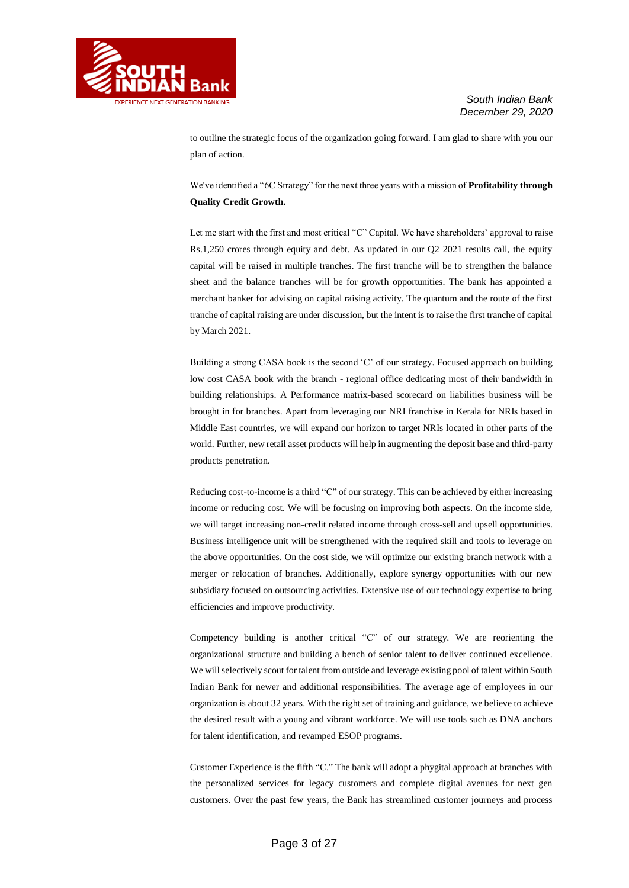

to outline the strategic focus of the organization going forward. I am glad to share with you our plan of action.

We've identified a "6C Strategy" for the next three years with a mission of **Profitability through Quality Credit Growth.**

Let me start with the first and most critical "C" Capital. We have shareholders' approval to raise Rs.1,250 crores through equity and debt. As updated in our Q2 2021 results call, the equity capital will be raised in multiple tranches. The first tranche will be to strengthen the balance sheet and the balance tranches will be for growth opportunities. The bank has appointed a merchant banker for advising on capital raising activity. The quantum and the route of the first tranche of capital raising are under discussion, but the intent is to raise the first tranche of capital by March 2021.

Building a strong CASA book is the second 'C' of our strategy. Focused approach on building low cost CASA book with the branch - regional office dedicating most of their bandwidth in building relationships. A Performance matrix-based scorecard on liabilities business will be brought in for branches. Apart from leveraging our NRI franchise in Kerala for NRIs based in Middle East countries, we will expand our horizon to target NRIs located in other parts of the world. Further, new retail asset products will help in augmenting the deposit base and third-party products penetration.

Reducing cost-to-income is a third "C" of our strategy. This can be achieved by either increasing income or reducing cost. We will be focusing on improving both aspects. On the income side, we will target increasing non-credit related income through cross-sell and upsell opportunities. Business intelligence unit will be strengthened with the required skill and tools to leverage on the above opportunities. On the cost side, we will optimize our existing branch network with a merger or relocation of branches. Additionally, explore synergy opportunities with our new subsidiary focused on outsourcing activities. Extensive use of our technology expertise to bring efficiencies and improve productivity.

Competency building is another critical "C" of our strategy. We are reorienting the organizational structure and building a bench of senior talent to deliver continued excellence. We will selectively scout for talent from outside and leverage existing pool of talent within South Indian Bank for newer and additional responsibilities. The average age of employees in our organization is about 32 years. With the right set of training and guidance, we believe to achieve the desired result with a young and vibrant workforce. We will use tools such as DNA anchors for talent identification, and revamped ESOP programs.

Customer Experience is the fifth "C." The bank will adopt a phygital approach at branches with the personalized services for legacy customers and complete digital avenues for next gen customers. Over the past few years, the Bank has streamlined customer journeys and process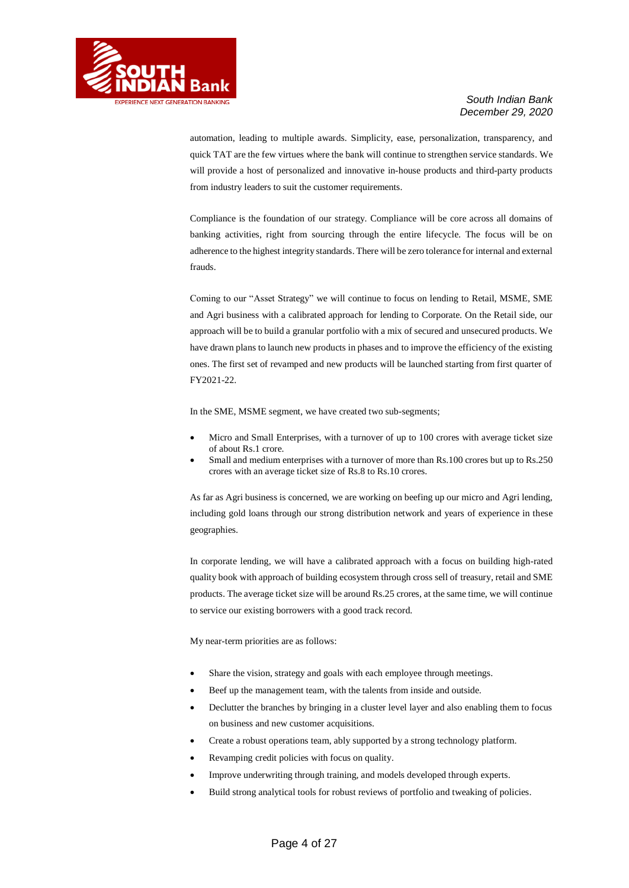

automation, leading to multiple awards. Simplicity, ease, personalization, transparency, and quick TAT are the few virtues where the bank will continue to strengthen service standards. We will provide a host of personalized and innovative in-house products and third-party products from industry leaders to suit the customer requirements.

Compliance is the foundation of our strategy. Compliance will be core across all domains of banking activities, right from sourcing through the entire lifecycle. The focus will be on adherence to the highest integrity standards. There will be zero tolerance for internal and external frauds.

Coming to our "Asset Strategy" we will continue to focus on lending to Retail, MSME, SME and Agri business with a calibrated approach for lending to Corporate. On the Retail side, our approach will be to build a granular portfolio with a mix of secured and unsecured products. We have drawn plans to launch new products in phases and to improve the efficiency of the existing ones. The first set of revamped and new products will be launched starting from first quarter of FY2021-22.

In the SME, MSME segment, we have created two sub-segments;

- Micro and Small Enterprises, with a turnover of up to 100 crores with average ticket size of about Rs.1 crore.
- Small and medium enterprises with a turnover of more than Rs.100 crores but up to Rs.250 crores with an average ticket size of Rs.8 to Rs.10 crores.

As far as Agri business is concerned, we are working on beefing up our micro and Agri lending, including gold loans through our strong distribution network and years of experience in these geographies.

In corporate lending, we will have a calibrated approach with a focus on building high-rated quality book with approach of building ecosystem through cross sell of treasury, retail and SME products. The average ticket size will be around Rs.25 crores, at the same time, we will continue to service our existing borrowers with a good track record.

My near-term priorities are as follows:

- Share the vision, strategy and goals with each employee through meetings.
- Beef up the management team, with the talents from inside and outside.
- Declutter the branches by bringing in a cluster level layer and also enabling them to focus on business and new customer acquisitions.
- Create a robust operations team, ably supported by a strong technology platform.
- Revamping credit policies with focus on quality.
- Improve underwriting through training, and models developed through experts.
- Build strong analytical tools for robust reviews of portfolio and tweaking of policies.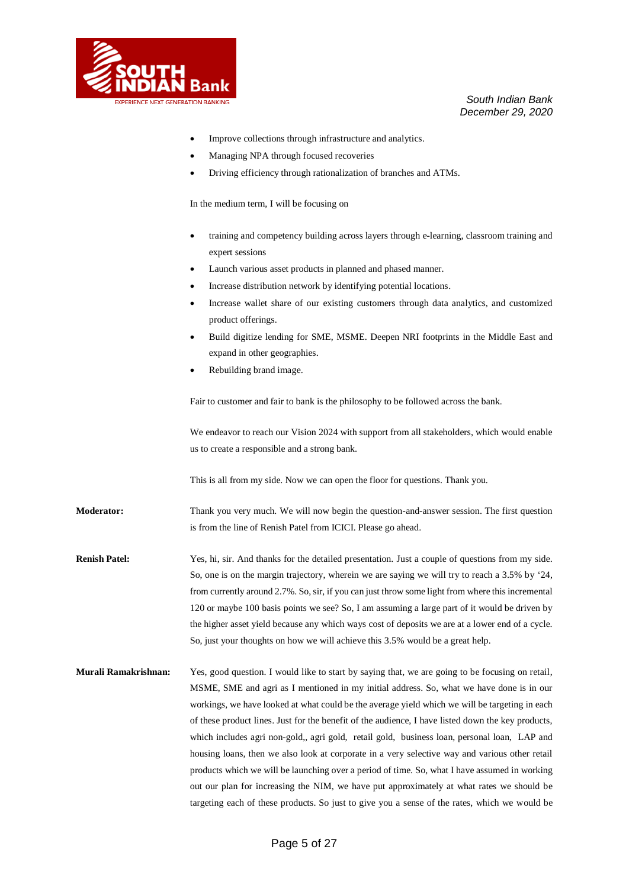

- Improve collections through infrastructure and analytics.
- Managing NPA through focused recoveries
- Driving efficiency through rationalization of branches and ATMs.

In the medium term, I will be focusing on

- training and competency building across layers through e-learning, classroom training and expert sessions
- Launch various asset products in planned and phased manner.
- Increase distribution network by identifying potential locations.
- Increase wallet share of our existing customers through data analytics, and customized product offerings.
- Build digitize lending for SME, MSME. Deepen NRI footprints in the Middle East and expand in other geographies.
- Rebuilding brand image.

Fair to customer and fair to bank is the philosophy to be followed across the bank.

We endeavor to reach our Vision 2024 with support from all stakeholders, which would enable us to create a responsible and a strong bank.

This is all from my side. Now we can open the floor for questions. Thank you.

**Moderator:** Thank you very much. We will now begin the question-and-answer session. The first question is from the line of Renish Patel from ICICI. Please go ahead.

**Renish Patel:** Yes, hi, sir. And thanks for the detailed presentation. Just a couple of questions from my side. So, one is on the margin trajectory, wherein we are saying we will try to reach a 3.5% by '24, from currently around 2.7%. So, sir, if you can just throw some light from where this incremental 120 or maybe 100 basis points we see? So, I am assuming a large part of it would be driven by the higher asset yield because any which ways cost of deposits we are at a lower end of a cycle. So, just your thoughts on how we will achieve this 3.5% would be a great help.

**Murali Ramakrishnan:** Yes, good question. I would like to start by saying that, we are going to be focusing on retail, MSME, SME and agri as I mentioned in my initial address. So, what we have done is in our workings, we have looked at what could be the average yield which we will be targeting in each of these product lines. Just for the benefit of the audience, I have listed down the key products, which includes agri non-gold,, agri gold, retail gold, business loan, personal loan, LAP and housing loans, then we also look at corporate in a very selective way and various other retail products which we will be launching over a period of time. So, what I have assumed in working out our plan for increasing the NIM, we have put approximately at what rates we should be targeting each of these products. So just to give you a sense of the rates, which we would be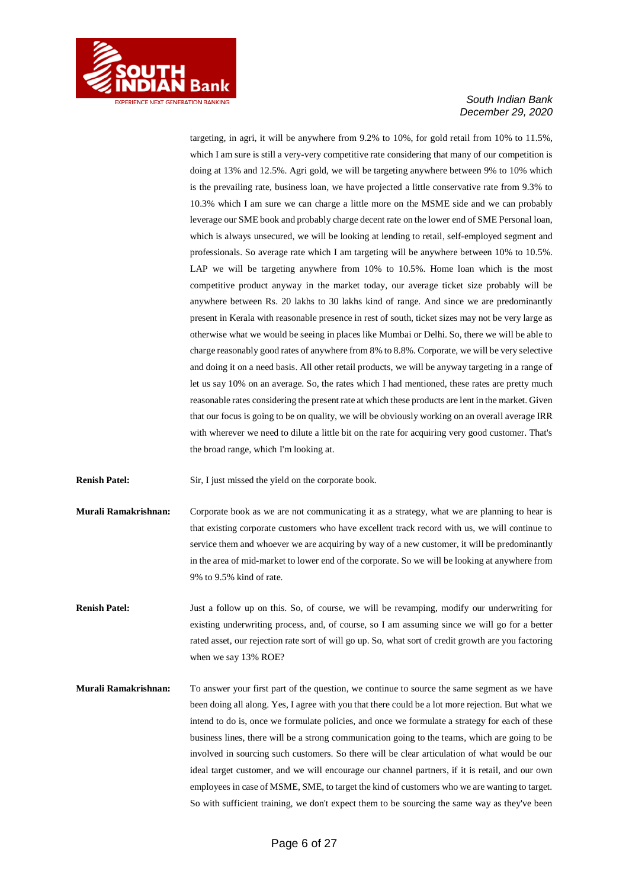

targeting, in agri, it will be anywhere from 9.2% to 10%, for gold retail from 10% to 11.5%, which I am sure is still a very-very competitive rate considering that many of our competition is doing at 13% and 12.5%. Agri gold, we will be targeting anywhere between 9% to 10% which is the prevailing rate, business loan, we have projected a little conservative rate from 9.3% to 10.3% which I am sure we can charge a little more on the MSME side and we can probably leverage our SME book and probably charge decent rate on the lower end of SME Personal loan, which is always unsecured, we will be looking at lending to retail, self-employed segment and professionals. So average rate which I am targeting will be anywhere between 10% to 10.5%. LAP we will be targeting anywhere from 10% to 10.5%. Home loan which is the most competitive product anyway in the market today, our average ticket size probably will be anywhere between Rs. 20 lakhs to 30 lakhs kind of range. And since we are predominantly present in Kerala with reasonable presence in rest of south, ticket sizes may not be very large as otherwise what we would be seeing in places like Mumbai or Delhi. So, there we will be able to charge reasonably good rates of anywhere from 8% to 8.8%. Corporate, we will be very selective and doing it on a need basis. All other retail products, we will be anyway targeting in a range of let us say 10% on an average. So, the rates which I had mentioned, these rates are pretty much reasonable rates considering the present rate at which these products are lent in the market. Given that our focus is going to be on quality, we will be obviously working on an overall average IRR with wherever we need to dilute a little bit on the rate for acquiring very good customer. That's the broad range, which I'm looking at.

**Renish Patel:** Sir, I just missed the yield on the corporate book.

**Murali Ramakrishnan:** Corporate book as we are not communicating it as a strategy, what we are planning to hear is that existing corporate customers who have excellent track record with us, we will continue to service them and whoever we are acquiring by way of a new customer, it will be predominantly in the area of mid-market to lower end of the corporate. So we will be looking at anywhere from 9% to 9.5% kind of rate.

**Renish Patel:** Just a follow up on this. So, of course, we will be revamping, modify our underwriting for existing underwriting process, and, of course, so I am assuming since we will go for a better rated asset, our rejection rate sort of will go up. So, what sort of credit growth are you factoring when we say 13% ROE?

**Murali Ramakrishnan:** To answer your first part of the question, we continue to source the same segment as we have been doing all along. Yes, I agree with you that there could be a lot more rejection. But what we intend to do is, once we formulate policies, and once we formulate a strategy for each of these business lines, there will be a strong communication going to the teams, which are going to be involved in sourcing such customers. So there will be clear articulation of what would be our ideal target customer, and we will encourage our channel partners, if it is retail, and our own employees in case of MSME, SME, to target the kind of customers who we are wanting to target. So with sufficient training, we don't expect them to be sourcing the same way as they've been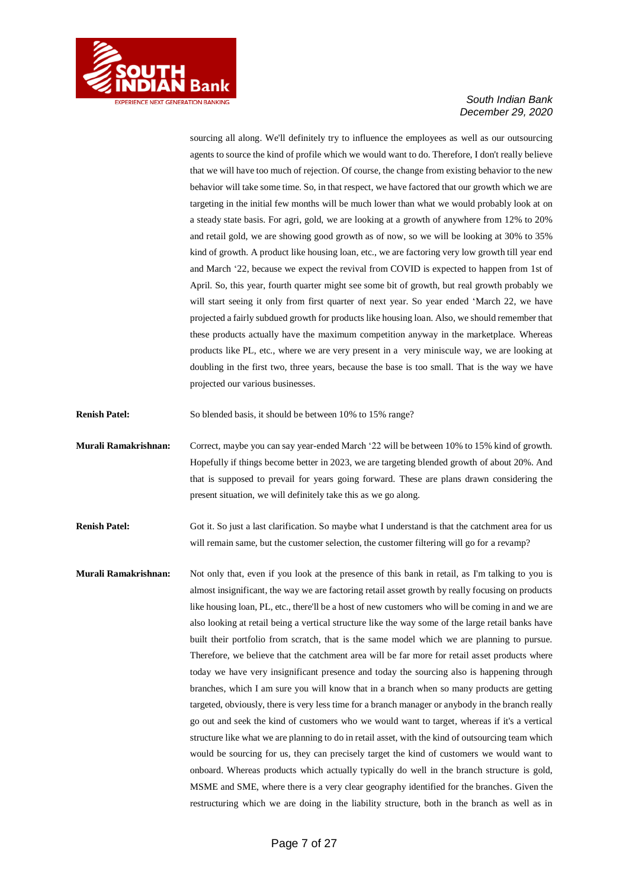

sourcing all along. We'll definitely try to influence the employees as well as our outsourcing agents to source the kind of profile which we would want to do. Therefore, I don't really believe that we will have too much of rejection. Of course, the change from existing behavior to the new behavior will take some time. So, in that respect, we have factored that our growth which we are targeting in the initial few months will be much lower than what we would probably look at on a steady state basis. For agri, gold, we are looking at a growth of anywhere from 12% to 20% and retail gold, we are showing good growth as of now, so we will be looking at 30% to 35% kind of growth. A product like housing loan, etc., we are factoring very low growth till year end and March '22, because we expect the revival from COVID is expected to happen from 1st of April. So, this year, fourth quarter might see some bit of growth, but real growth probably we will start seeing it only from first quarter of next year. So year ended 'March 22, we have projected a fairly subdued growth for products like housing loan. Also, we should remember that these products actually have the maximum competition anyway in the marketplace. Whereas products like PL, etc., where we are very present in a very miniscule way, we are looking at doubling in the first two, three years, because the base is too small. That is the way we have projected our various businesses.

**Renish Patel:** So blended basis, it should be between 10% to 15% range?

**Murali Ramakrishnan:** Correct, maybe you can say year-ended March '22 will be between 10% to 15% kind of growth. Hopefully if things become better in 2023, we are targeting blended growth of about 20%. And that is supposed to prevail for years going forward. These are plans drawn considering the present situation, we will definitely take this as we go along.

**Renish Patel:** Got it. So just a last clarification. So maybe what I understand is that the catchment area for us will remain same, but the customer selection, the customer filtering will go for a revamp?

**Murali Ramakrishnan:** Not only that, even if you look at the presence of this bank in retail, as I'm talking to you is almost insignificant, the way we are factoring retail asset growth by really focusing on products like housing loan, PL, etc., there'll be a host of new customers who will be coming in and we are also looking at retail being a vertical structure like the way some of the large retail banks have built their portfolio from scratch, that is the same model which we are planning to pursue. Therefore, we believe that the catchment area will be far more for retail asset products where today we have very insignificant presence and today the sourcing also is happening through branches, which I am sure you will know that in a branch when so many products are getting targeted, obviously, there is very less time for a branch manager or anybody in the branch really go out and seek the kind of customers who we would want to target, whereas if it's a vertical structure like what we are planning to do in retail asset, with the kind of outsourcing team which would be sourcing for us, they can precisely target the kind of customers we would want to onboard. Whereas products which actually typically do well in the branch structure is gold, MSME and SME, where there is a very clear geography identified for the branches. Given the restructuring which we are doing in the liability structure, both in the branch as well as in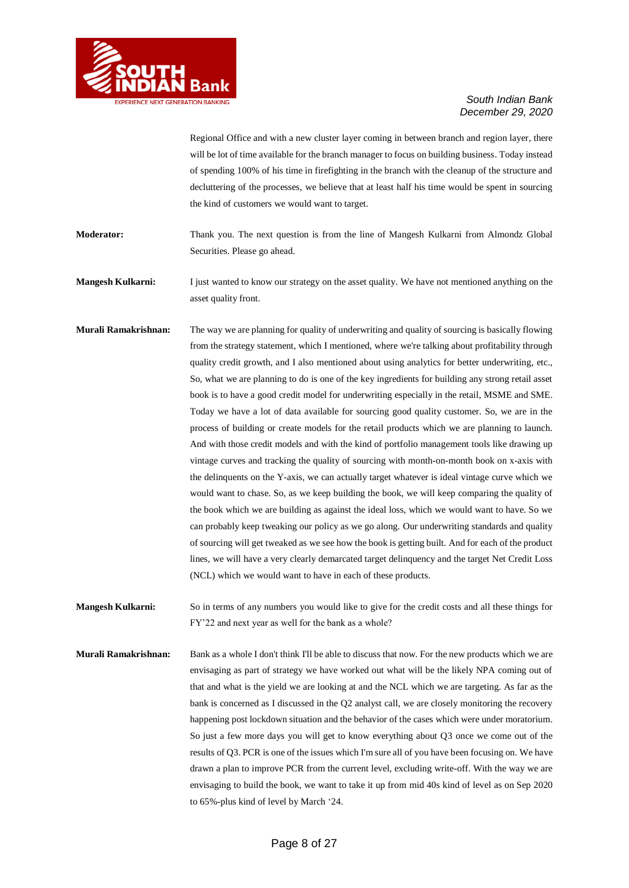

Regional Office and with a new cluster layer coming in between branch and region layer, there will be lot of time available for the branch manager to focus on building business. Today instead of spending 100% of his time in firefighting in the branch with the cleanup of the structure and decluttering of the processes, we believe that at least half his time would be spent in sourcing the kind of customers we would want to target.

**Moderator:** Thank you. The next question is from the line of Mangesh Kulkarni from Almondz Global Securities. Please go ahead.

**Mangesh Kulkarni:** I just wanted to know our strategy on the asset quality. We have not mentioned anything on the asset quality front.

**Murali Ramakrishnan:** The way we are planning for quality of underwriting and quality of sourcing is basically flowing from the strategy statement, which I mentioned, where we're talking about profitability through quality credit growth, and I also mentioned about using analytics for better underwriting, etc., So, what we are planning to do is one of the key ingredients for building any strong retail asset book is to have a good credit model for underwriting especially in the retail, MSME and SME. Today we have a lot of data available for sourcing good quality customer. So, we are in the process of building or create models for the retail products which we are planning to launch. And with those credit models and with the kind of portfolio management tools like drawing up vintage curves and tracking the quality of sourcing with month-on-month book on x-axis with the delinquents on the Y-axis, we can actually target whatever is ideal vintage curve which we would want to chase. So, as we keep building the book, we will keep comparing the quality of the book which we are building as against the ideal loss, which we would want to have. So we can probably keep tweaking our policy as we go along. Our underwriting standards and quality of sourcing will get tweaked as we see how the book is getting built. And for each of the product lines, we will have a very clearly demarcated target delinquency and the target Net Credit Loss (NCL) which we would want to have in each of these products.

**Mangesh Kulkarni:** So in terms of any numbers you would like to give for the credit costs and all these things for FY'22 and next year as well for the bank as a whole?

**Murali Ramakrishnan:** Bank as a whole I don't think I'll be able to discuss that now. For the new products which we are envisaging as part of strategy we have worked out what will be the likely NPA coming out of that and what is the yield we are looking at and the NCL which we are targeting. As far as the bank is concerned as I discussed in the Q2 analyst call, we are closely monitoring the recovery happening post lockdown situation and the behavior of the cases which were under moratorium. So just a few more days you will get to know everything about Q3 once we come out of the results of Q3. PCR is one of the issues which I'm sure all of you have been focusing on. We have drawn a plan to improve PCR from the current level, excluding write-off. With the way we are envisaging to build the book, we want to take it up from mid 40s kind of level as on Sep 2020 to 65%-plus kind of level by March '24.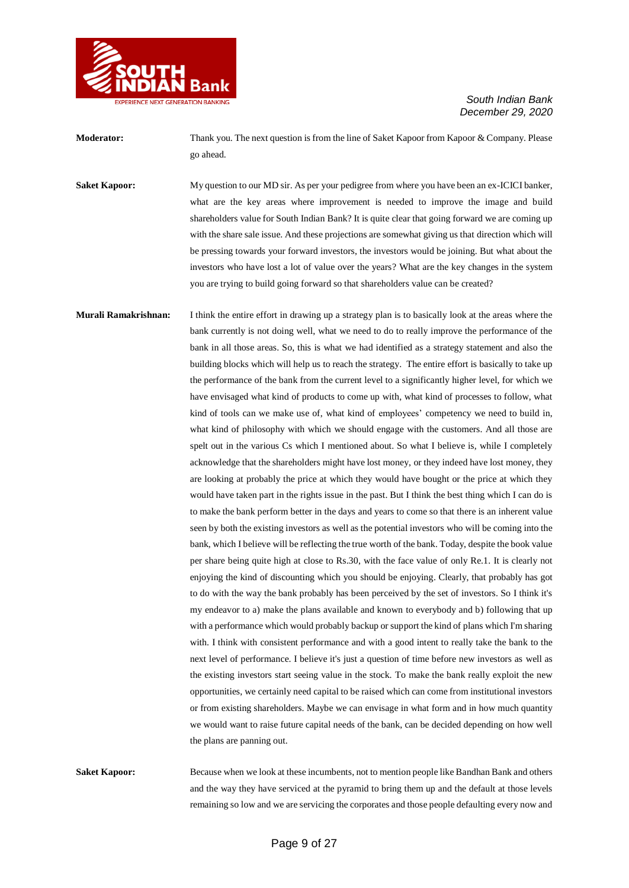

**Moderator:** Thank you. The next question is from the line of Saket Kapoor from Kapoor & Company. Please go ahead.

**Saket Kapoor:** My question to our MD sir. As per your pedigree from where you have been an ex-ICICI banker, what are the key areas where improvement is needed to improve the image and build shareholders value for South Indian Bank? It is quite clear that going forward we are coming up with the share sale issue. And these projections are somewhat giving us that direction which will be pressing towards your forward investors, the investors would be joining. But what about the investors who have lost a lot of value over the years? What are the key changes in the system you are trying to build going forward so that shareholders value can be created?

**Murali Ramakrishnan:** I think the entire effort in drawing up a strategy plan is to basically look at the areas where the bank currently is not doing well, what we need to do to really improve the performance of the bank in all those areas. So, this is what we had identified as a strategy statement and also the building blocks which will help us to reach the strategy. The entire effort is basically to take up the performance of the bank from the current level to a significantly higher level, for which we have envisaged what kind of products to come up with, what kind of processes to follow, what kind of tools can we make use of, what kind of employees' competency we need to build in, what kind of philosophy with which we should engage with the customers. And all those are spelt out in the various Cs which I mentioned about. So what I believe is, while I completely acknowledge that the shareholders might have lost money, or they indeed have lost money, they are looking at probably the price at which they would have bought or the price at which they would have taken part in the rights issue in the past. But I think the best thing which I can do is to make the bank perform better in the days and years to come so that there is an inherent value seen by both the existing investors as well as the potential investors who will be coming into the bank, which I believe will be reflecting the true worth of the bank. Today, despite the book value per share being quite high at close to Rs.30, with the face value of only Re.1. It is clearly not enjoying the kind of discounting which you should be enjoying. Clearly, that probably has got to do with the way the bank probably has been perceived by the set of investors. So I think it's my endeavor to a) make the plans available and known to everybody and b) following that up with a performance which would probably backup or support the kind of plans which I'm sharing with. I think with consistent performance and with a good intent to really take the bank to the next level of performance. I believe it's just a question of time before new investors as well as the existing investors start seeing value in the stock. To make the bank really exploit the new opportunities, we certainly need capital to be raised which can come from institutional investors or from existing shareholders. Maybe we can envisage in what form and in how much quantity we would want to raise future capital needs of the bank, can be decided depending on how well the plans are panning out.

**Saket Kapoor:** Because when we look at these incumbents, not to mention people like Bandhan Bank and others and the way they have serviced at the pyramid to bring them up and the default at those levels remaining so low and we are servicing the corporates and those people defaulting every now and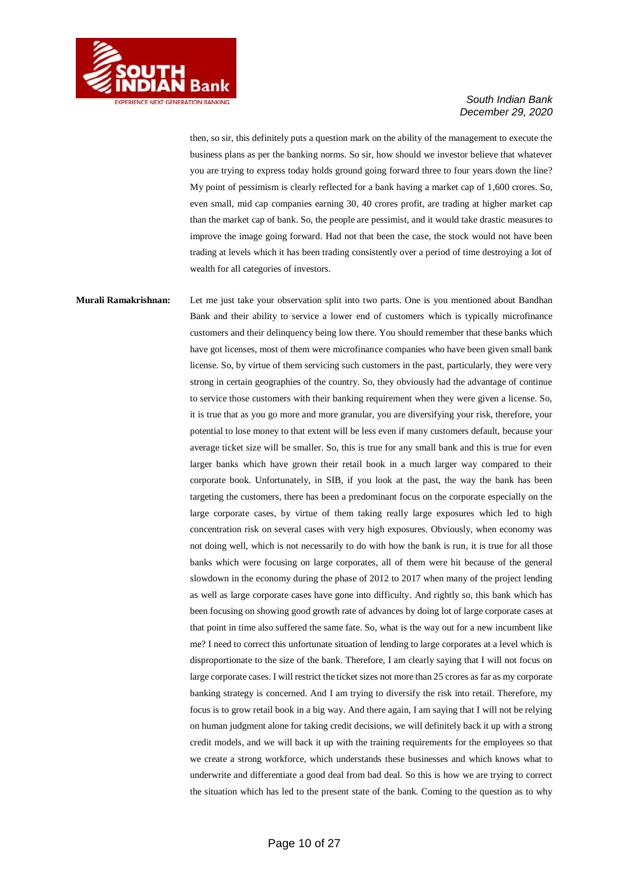

then, so sir, this definitely puts a question mark on the ability of the management to execute the business plans as per the banking norms. So sir, how should we investor believe that whatever you are trying to express today holds ground going forward three to four years down the line? My point of pessimism is clearly reflected for a bank having a market cap of 1,600 crores. So, even small, mid cap companies earning 30, 40 crores profit, are trading at higher market cap than the market cap of bank. So, the people are pessimist, and it would take drastic measures to improve the image going forward. Had not that been the case, the stock would not have been trading at levels which it has been trading consistently over a period of time destroying a lot of wealth for all categories of investors.

**Murali Ramakrishnan:** Let me just take your observation split into two parts. One is you mentioned about Bandhan Bank and their ability to service a lower end of customers which is typically microfinance customers and their delinquency being low there. You should remember that these banks which have got licenses, most of them were microfinance companies who have been given small bank license. So, by virtue of them servicing such customers in the past, particularly, they were very strong in certain geographies of the country. So, they obviously had the advantage of continue to service those customers with their banking requirement when they were given a license. So, it is true that as you go more and more granular, you are diversifying your risk, therefore, your potential to lose money to that extent will be less even if many customers default, because your average ticket size will be smaller. So, this is true for any small bank and this is true for even larger banks which have grown their retail book in a much larger way compared to their corporate book. Unfortunately, in SIB, if you look at the past, the way the bank has been targeting the customers, there has been a predominant focus on the corporate especially on the large corporate cases, by virtue of them taking really large exposures which led to high concentration risk on several cases with very high exposures. Obviously, when economy was not doing well, which is not necessarily to do with how the bank is run, it is true for all those banks which were focusing on large corporates, all of them were hit because of the general slowdown in the economy during the phase of 2012 to 2017 when many of the project lending as well as large corporate cases have gone into difficulty. And rightly so, this bank which has been focusing on showing good growth rate of advances by doing lot of large corporate cases at that point in time also suffered the same fate. So, what is the way out for a new incumbent like me? I need to correct this unfortunate situation of lending to large corporates at a level which is disproportionate to the size of the bank. Therefore, I am clearly saying that I will not focus on large corporate cases. I will restrict the ticket sizes not more than 25 crores as far as my corporate banking strategy is concerned. And I am trying to diversify the risk into retail. Therefore, my focus is to grow retail book in a big way. And there again, I am saying that I will not be relying on human judgment alone for taking credit decisions, we will definitely back it up with a strong credit models, and we will back it up with the training requirements for the employees so that we create a strong workforce, which understands these businesses and which knows what to underwrite and differentiate a good deal from bad deal. So this is how we are trying to correct the situation which has led to the present state of the bank. Coming to the question as to why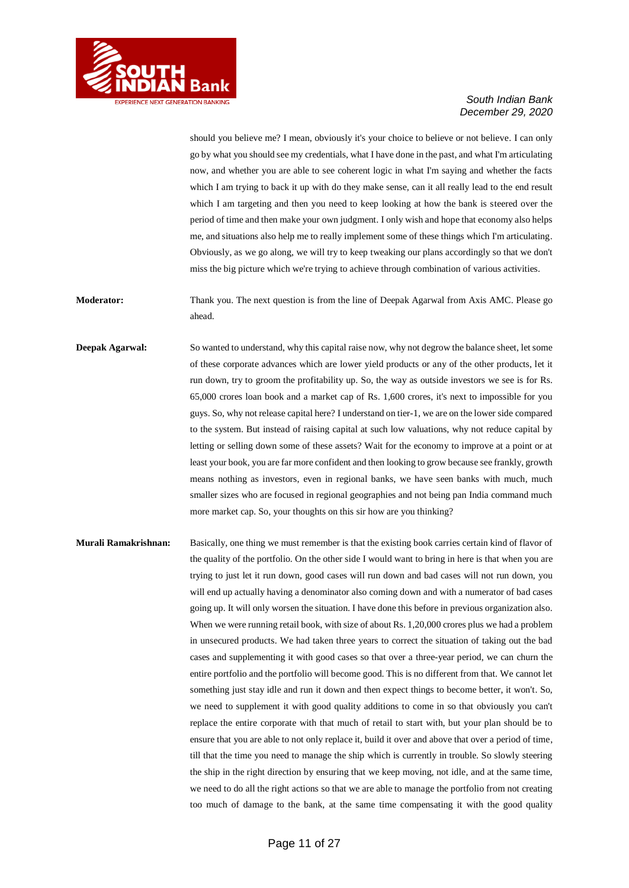

should you believe me? I mean, obviously it's your choice to believe or not believe. I can only go by what you should see my credentials, what I have done in the past, and what I'm articulating now, and whether you are able to see coherent logic in what I'm saying and whether the facts which I am trying to back it up with do they make sense, can it all really lead to the end result which I am targeting and then you need to keep looking at how the bank is steered over the period of time and then make your own judgment. I only wish and hope that economy also helps me, and situations also help me to really implement some of these things which I'm articulating. Obviously, as we go along, we will try to keep tweaking our plans accordingly so that we don't miss the big picture which we're trying to achieve through combination of various activities.

**Moderator:** Thank you. The next question is from the line of Deepak Agarwal from Axis AMC. Please go ahead.

**Deepak Agarwal:** So wanted to understand, why this capital raise now, why not degrow the balance sheet, let some of these corporate advances which are lower yield products or any of the other products, let it run down, try to groom the profitability up. So, the way as outside investors we see is for Rs. 65,000 crores loan book and a market cap of Rs. 1,600 crores, it's next to impossible for you guys. So, why not release capital here? I understand on tier-1, we are on the lower side compared to the system. But instead of raising capital at such low valuations, why not reduce capital by letting or selling down some of these assets? Wait for the economy to improve at a point or at least your book, you are far more confident and then looking to grow because see frankly, growth means nothing as investors, even in regional banks, we have seen banks with much, much smaller sizes who are focused in regional geographies and not being pan India command much more market cap. So, your thoughts on this sir how are you thinking?

**Murali Ramakrishnan:** Basically, one thing we must remember is that the existing book carries certain kind of flavor of the quality of the portfolio. On the other side I would want to bring in here is that when you are trying to just let it run down, good cases will run down and bad cases will not run down, you will end up actually having a denominator also coming down and with a numerator of bad cases going up. It will only worsen the situation. I have done this before in previous organization also. When we were running retail book, with size of about Rs. 1,20,000 crores plus we had a problem in unsecured products. We had taken three years to correct the situation of taking out the bad cases and supplementing it with good cases so that over a three-year period, we can churn the entire portfolio and the portfolio will become good. This is no different from that. We cannot let something just stay idle and run it down and then expect things to become better, it won't. So, we need to supplement it with good quality additions to come in so that obviously you can't replace the entire corporate with that much of retail to start with, but your plan should be to ensure that you are able to not only replace it, build it over and above that over a period of time, till that the time you need to manage the ship which is currently in trouble. So slowly steering the ship in the right direction by ensuring that we keep moving, not idle, and at the same time, we need to do all the right actions so that we are able to manage the portfolio from not creating too much of damage to the bank, at the same time compensating it with the good quality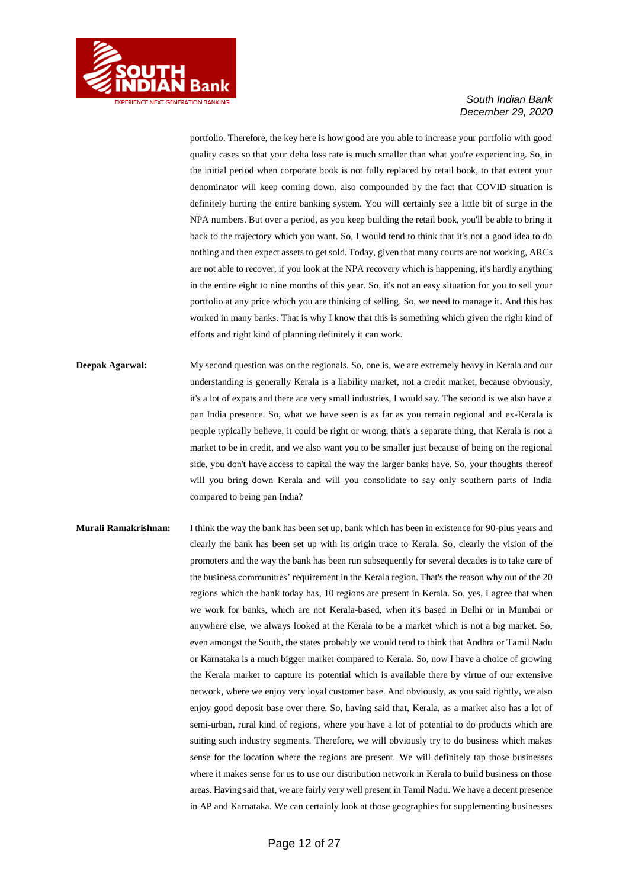

portfolio. Therefore, the key here is how good are you able to increase your portfolio with good quality cases so that your delta loss rate is much smaller than what you're experiencing. So, in the initial period when corporate book is not fully replaced by retail book, to that extent your denominator will keep coming down, also compounded by the fact that COVID situation is definitely hurting the entire banking system. You will certainly see a little bit of surge in the NPA numbers. But over a period, as you keep building the retail book, you'll be able to bring it back to the trajectory which you want. So, I would tend to think that it's not a good idea to do nothing and then expect assets to get sold. Today, given that many courts are not working, ARCs are not able to recover, if you look at the NPA recovery which is happening, it's hardly anything in the entire eight to nine months of this year. So, it's not an easy situation for you to sell your portfolio at any price which you are thinking of selling. So, we need to manage it. And this has worked in many banks. That is why I know that this is something which given the right kind of efforts and right kind of planning definitely it can work.

- **Deepak Agarwal:** My second question was on the regionals. So, one is, we are extremely heavy in Kerala and our understanding is generally Kerala is a liability market, not a credit market, because obviously, it's a lot of expats and there are very small industries, I would say. The second is we also have a pan India presence. So, what we have seen is as far as you remain regional and ex-Kerala is people typically believe, it could be right or wrong, that's a separate thing, that Kerala is not a market to be in credit, and we also want you to be smaller just because of being on the regional side, you don't have access to capital the way the larger banks have. So, your thoughts thereof will you bring down Kerala and will you consolidate to say only southern parts of India compared to being pan India?
- **Murali Ramakrishnan:** I think the way the bank has been set up, bank which has been in existence for 90-plus years and clearly the bank has been set up with its origin trace to Kerala. So, clearly the vision of the promoters and the way the bank has been run subsequently for several decades is to take care of the business communities' requirement in the Kerala region. That's the reason why out of the 20 regions which the bank today has, 10 regions are present in Kerala. So, yes, I agree that when we work for banks, which are not Kerala-based, when it's based in Delhi or in Mumbai or anywhere else, we always looked at the Kerala to be a market which is not a big market. So, even amongst the South, the states probably we would tend to think that Andhra or Tamil Nadu or Karnataka is a much bigger market compared to Kerala. So, now I have a choice of growing the Kerala market to capture its potential which is available there by virtue of our extensive network, where we enjoy very loyal customer base. And obviously, as you said rightly, we also enjoy good deposit base over there. So, having said that, Kerala, as a market also has a lot of semi-urban, rural kind of regions, where you have a lot of potential to do products which are suiting such industry segments. Therefore, we will obviously try to do business which makes sense for the location where the regions are present. We will definitely tap those businesses where it makes sense for us to use our distribution network in Kerala to build business on those areas. Having said that, we are fairly very well present in Tamil Nadu. We have a decent presence in AP and Karnataka. We can certainly look at those geographies for supplementing businesses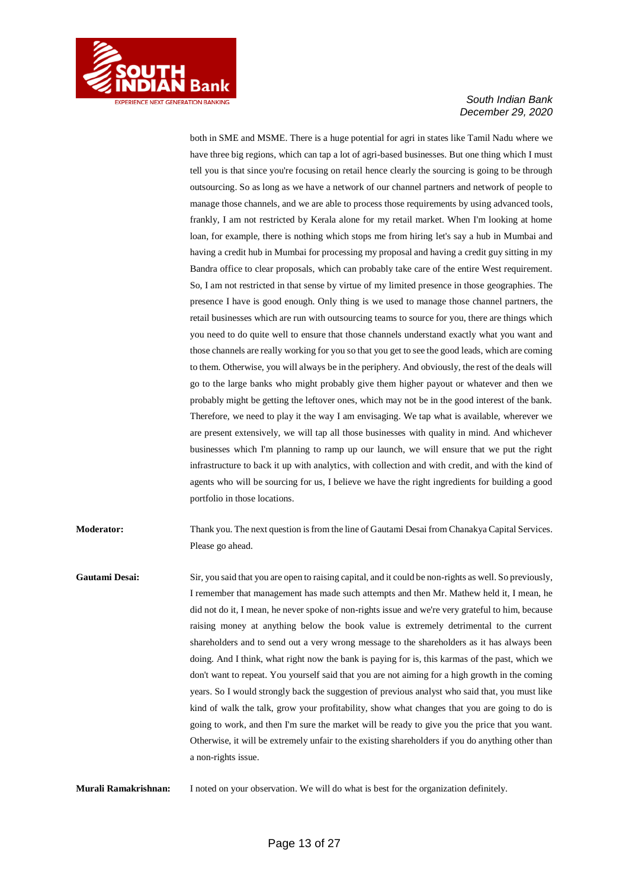

both in SME and MSME. There is a huge potential for agri in states like Tamil Nadu where we have three big regions, which can tap a lot of agri-based businesses. But one thing which I must tell you is that since you're focusing on retail hence clearly the sourcing is going to be through outsourcing. So as long as we have a network of our channel partners and network of people to manage those channels, and we are able to process those requirements by using advanced tools, frankly, I am not restricted by Kerala alone for my retail market. When I'm looking at home loan, for example, there is nothing which stops me from hiring let's say a hub in Mumbai and having a credit hub in Mumbai for processing my proposal and having a credit guy sitting in my Bandra office to clear proposals, which can probably take care of the entire West requirement. So, I am not restricted in that sense by virtue of my limited presence in those geographies. The presence I have is good enough. Only thing is we used to manage those channel partners, the retail businesses which are run with outsourcing teams to source for you, there are things which you need to do quite well to ensure that those channels understand exactly what you want and those channels are really working for you so that you get to see the good leads, which are coming to them. Otherwise, you will always be in the periphery. And obviously, the rest of the deals will go to the large banks who might probably give them higher payout or whatever and then we probably might be getting the leftover ones, which may not be in the good interest of the bank. Therefore, we need to play it the way I am envisaging. We tap what is available, wherever we are present extensively, we will tap all those businesses with quality in mind. And whichever businesses which I'm planning to ramp up our launch, we will ensure that we put the right infrastructure to back it up with analytics, with collection and with credit, and with the kind of agents who will be sourcing for us, I believe we have the right ingredients for building a good portfolio in those locations.

**Moderator:** Thank you. The next question is from the line of Gautami Desai from Chanakya Capital Services. Please go ahead.

**Gautami Desai:** Sir, you said that you are open to raising capital, and it could be non-rights as well. So previously, I remember that management has made such attempts and then Mr. Mathew held it, I mean, he did not do it, I mean, he never spoke of non-rights issue and we're very grateful to him, because raising money at anything below the book value is extremely detrimental to the current shareholders and to send out a very wrong message to the shareholders as it has always been doing. And I think, what right now the bank is paying for is, this karmas of the past, which we don't want to repeat. You yourself said that you are not aiming for a high growth in the coming years. So I would strongly back the suggestion of previous analyst who said that, you must like kind of walk the talk, grow your profitability, show what changes that you are going to do is going to work, and then I'm sure the market will be ready to give you the price that you want. Otherwise, it will be extremely unfair to the existing shareholders if you do anything other than a non-rights issue.

**Murali Ramakrishnan:** I noted on your observation. We will do what is best for the organization definitely.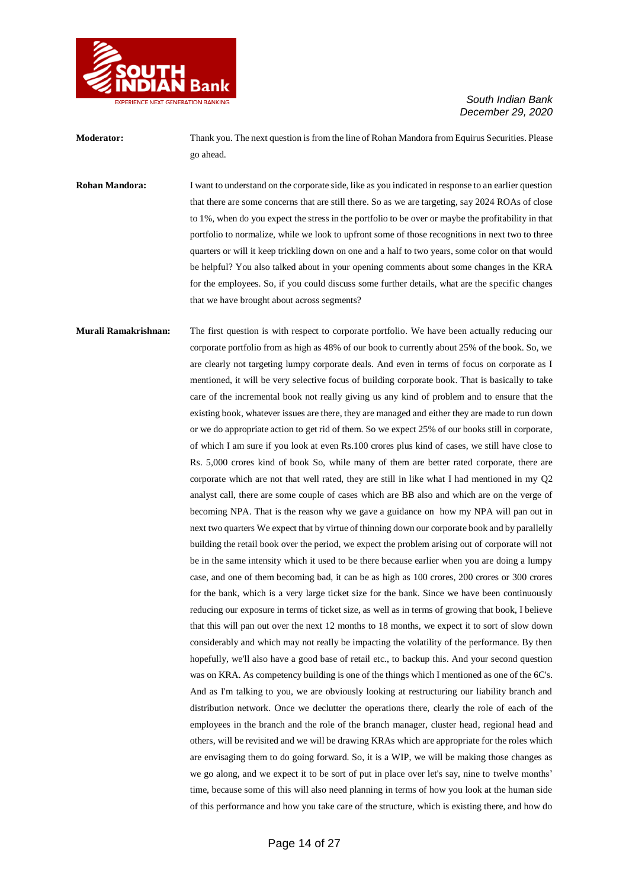

**Moderator:** Thank you. The next question is from the line of Rohan Mandora from Equirus Securities. Please go ahead.

**Rohan Mandora:** I want to understand on the corporate side, like as you indicated in response to an earlier question that there are some concerns that are still there. So as we are targeting, say 2024 ROAs of close to 1%, when do you expect the stress in the portfolio to be over or maybe the profitability in that portfolio to normalize, while we look to upfront some of those recognitions in next two to three quarters or will it keep trickling down on one and a half to two years, some color on that would be helpful? You also talked about in your opening comments about some changes in the KRA for the employees. So, if you could discuss some further details, what are the specific changes that we have brought about across segments?

**Murali Ramakrishnan:** The first question is with respect to corporate portfolio. We have been actually reducing our corporate portfolio from as high as 48% of our book to currently about 25% of the book. So, we are clearly not targeting lumpy corporate deals. And even in terms of focus on corporate as I mentioned, it will be very selective focus of building corporate book. That is basically to take care of the incremental book not really giving us any kind of problem and to ensure that the existing book, whatever issues are there, they are managed and either they are made to run down or we do appropriate action to get rid of them. So we expect 25% of our books still in corporate, of which I am sure if you look at even Rs.100 crores plus kind of cases, we still have close to Rs. 5,000 crores kind of book So, while many of them are better rated corporate, there are corporate which are not that well rated, they are still in like what I had mentioned in my Q2 analyst call, there are some couple of cases which are BB also and which are on the verge of becoming NPA. That is the reason why we gave a guidance on how my NPA will pan out in next two quarters We expect that by virtue of thinning down our corporate book and by parallelly building the retail book over the period, we expect the problem arising out of corporate will not be in the same intensity which it used to be there because earlier when you are doing a lumpy case, and one of them becoming bad, it can be as high as 100 crores, 200 crores or 300 crores for the bank, which is a very large ticket size for the bank. Since we have been continuously reducing our exposure in terms of ticket size, as well as in terms of growing that book, I believe that this will pan out over the next 12 months to 18 months, we expect it to sort of slow down considerably and which may not really be impacting the volatility of the performance. By then hopefully, we'll also have a good base of retail etc., to backup this. And your second question was on KRA. As competency building is one of the things which I mentioned as one of the 6C's. And as I'm talking to you, we are obviously looking at restructuring our liability branch and distribution network. Once we declutter the operations there, clearly the role of each of the employees in the branch and the role of the branch manager, cluster head, regional head and others, will be revisited and we will be drawing KRAs which are appropriate for the roles which are envisaging them to do going forward. So, it is a WIP, we will be making those changes as we go along, and we expect it to be sort of put in place over let's say, nine to twelve months' time, because some of this will also need planning in terms of how you look at the human side of this performance and how you take care of the structure, which is existing there, and how do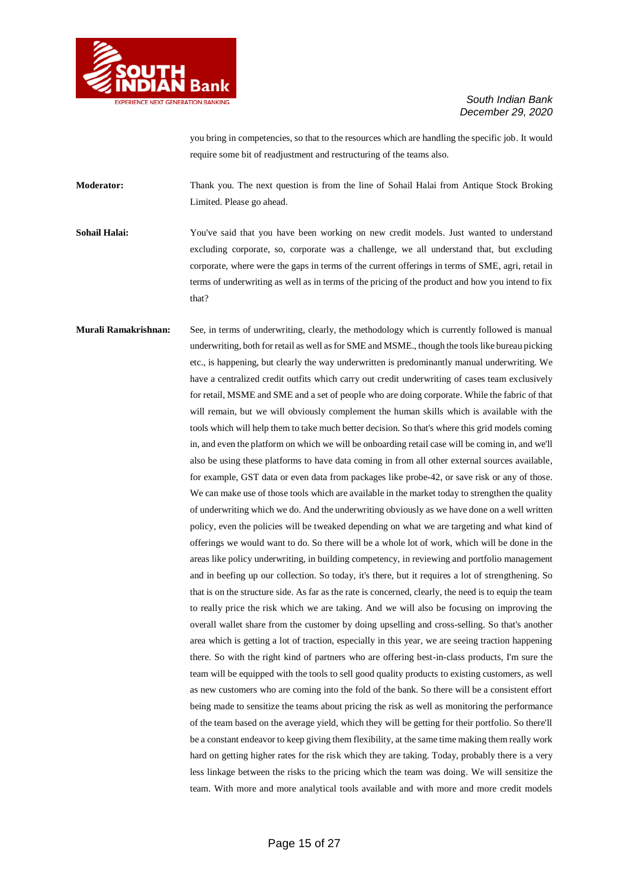

you bring in competencies, so that to the resources which are handling the specific job. It would require some bit of readjustment and restructuring of the teams also.

**Moderator:** Thank you. The next question is from the line of Sohail Halai from Antique Stock Broking Limited. Please go ahead.

**Sohail Halai:** You've said that you have been working on new credit models. Just wanted to understand excluding corporate, so, corporate was a challenge, we all understand that, but excluding corporate, where were the gaps in terms of the current offerings in terms of SME, agri, retail in terms of underwriting as well as in terms of the pricing of the product and how you intend to fix that?

**Murali Ramakrishnan:** See, in terms of underwriting, clearly, the methodology which is currently followed is manual underwriting, both for retail as well as for SME and MSME., though the tools like bureau picking etc., is happening, but clearly the way underwritten is predominantly manual underwriting. We have a centralized credit outfits which carry out credit underwriting of cases team exclusively for retail, MSME and SME and a set of people who are doing corporate. While the fabric of that will remain, but we will obviously complement the human skills which is available with the tools which will help them to take much better decision. So that's where this grid models coming in, and even the platform on which we will be onboarding retail case will be coming in, and we'll also be using these platforms to have data coming in from all other external sources available, for example, GST data or even data from packages like probe-42, or save risk or any of those. We can make use of those tools which are available in the market today to strengthen the quality of underwriting which we do. And the underwriting obviously as we have done on a well written policy, even the policies will be tweaked depending on what we are targeting and what kind of offerings we would want to do. So there will be a whole lot of work, which will be done in the areas like policy underwriting, in building competency, in reviewing and portfolio management and in beefing up our collection. So today, it's there, but it requires a lot of strengthening. So that is on the structure side. As far as the rate is concerned, clearly, the need is to equip the team to really price the risk which we are taking. And we will also be focusing on improving the overall wallet share from the customer by doing upselling and cross-selling. So that's another area which is getting a lot of traction, especially in this year, we are seeing traction happening there. So with the right kind of partners who are offering best-in-class products, I'm sure the team will be equipped with the tools to sell good quality products to existing customers, as well as new customers who are coming into the fold of the bank. So there will be a consistent effort being made to sensitize the teams about pricing the risk as well as monitoring the performance of the team based on the average yield, which they will be getting for their portfolio. So there'll be a constant endeavor to keep giving them flexibility, at the same time making them really work hard on getting higher rates for the risk which they are taking. Today, probably there is a very less linkage between the risks to the pricing which the team was doing. We will sensitize the team. With more and more analytical tools available and with more and more credit models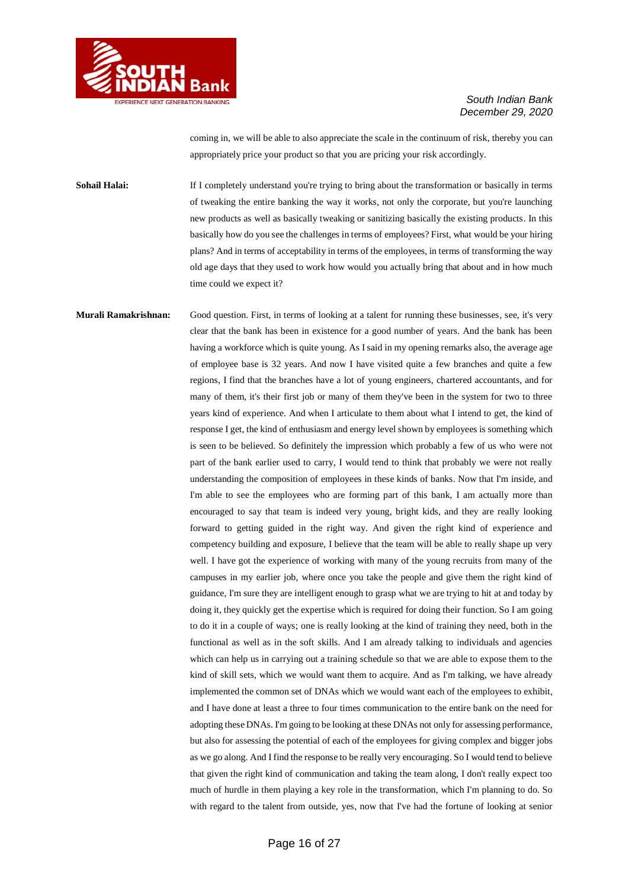

coming in, we will be able to also appreciate the scale in the continuum of risk, thereby you can appropriately price your product so that you are pricing your risk accordingly.

**Sohail Halai:** If I completely understand you're trying to bring about the transformation or basically in terms of tweaking the entire banking the way it works, not only the corporate, but you're launching new products as well as basically tweaking or sanitizing basically the existing products. In this basically how do you see the challenges in terms of employees? First, what would be your hiring plans? And in terms of acceptability in terms of the employees, in terms of transforming the way old age days that they used to work how would you actually bring that about and in how much time could we expect it?

**Murali Ramakrishnan:** Good question. First, in terms of looking at a talent for running these businesses, see, it's very clear that the bank has been in existence for a good number of years. And the bank has been having a workforce which is quite young. As I said in my opening remarks also, the average age of employee base is 32 years. And now I have visited quite a few branches and quite a few regions, I find that the branches have a lot of young engineers, chartered accountants, and for many of them, it's their first job or many of them they've been in the system for two to three years kind of experience. And when I articulate to them about what I intend to get, the kind of response I get, the kind of enthusiasm and energy level shown by employees is something which is seen to be believed. So definitely the impression which probably a few of us who were not part of the bank earlier used to carry, I would tend to think that probably we were not really understanding the composition of employees in these kinds of banks. Now that I'm inside, and I'm able to see the employees who are forming part of this bank, I am actually more than encouraged to say that team is indeed very young, bright kids, and they are really looking forward to getting guided in the right way. And given the right kind of experience and competency building and exposure, I believe that the team will be able to really shape up very well. I have got the experience of working with many of the young recruits from many of the campuses in my earlier job, where once you take the people and give them the right kind of guidance, I'm sure they are intelligent enough to grasp what we are trying to hit at and today by doing it, they quickly get the expertise which is required for doing their function. So I am going to do it in a couple of ways; one is really looking at the kind of training they need, both in the functional as well as in the soft skills. And I am already talking to individuals and agencies which can help us in carrying out a training schedule so that we are able to expose them to the kind of skill sets, which we would want them to acquire. And as I'm talking, we have already implemented the common set of DNAs which we would want each of the employees to exhibit, and I have done at least a three to four times communication to the entire bank on the need for adopting these DNAs. I'm going to be looking at these DNAs not only for assessing performance, but also for assessing the potential of each of the employees for giving complex and bigger jobs as we go along. And I find the response to be really very encouraging. So I would tend to believe that given the right kind of communication and taking the team along, I don't really expect too much of hurdle in them playing a key role in the transformation, which I'm planning to do. So with regard to the talent from outside, yes, now that I've had the fortune of looking at senior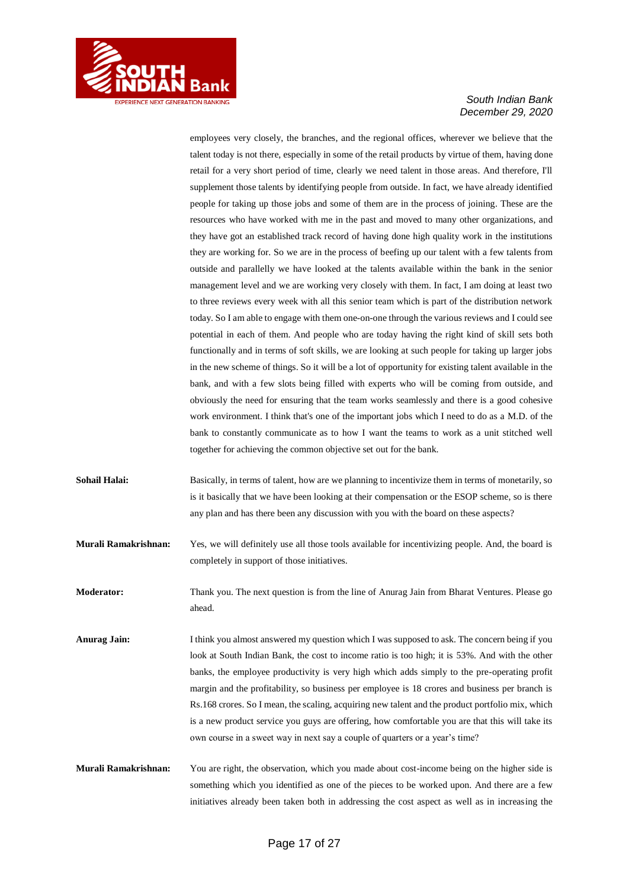

employees very closely, the branches, and the regional offices, wherever we believe that the talent today is not there, especially in some of the retail products by virtue of them, having done retail for a very short period of time, clearly we need talent in those areas. And therefore, I'll supplement those talents by identifying people from outside. In fact, we have already identified people for taking up those jobs and some of them are in the process of joining. These are the resources who have worked with me in the past and moved to many other organizations, and they have got an established track record of having done high quality work in the institutions they are working for. So we are in the process of beefing up our talent with a few talents from outside and parallelly we have looked at the talents available within the bank in the senior management level and we are working very closely with them. In fact, I am doing at least two to three reviews every week with all this senior team which is part of the distribution network today. So I am able to engage with them one-on-one through the various reviews and I could see potential in each of them. And people who are today having the right kind of skill sets both functionally and in terms of soft skills, we are looking at such people for taking up larger jobs in the new scheme of things. So it will be a lot of opportunity for existing talent available in the bank, and with a few slots being filled with experts who will be coming from outside, and obviously the need for ensuring that the team works seamlessly and there is a good cohesive work environment. I think that's one of the important jobs which I need to do as a M.D. of the bank to constantly communicate as to how I want the teams to work as a unit stitched well together for achieving the common objective set out for the bank.

- **Sohail Halai:** Basically, in terms of talent, how are we planning to incentivize them in terms of monetarily, so is it basically that we have been looking at their compensation or the ESOP scheme, so is there any plan and has there been any discussion with you with the board on these aspects?
- **Murali Ramakrishnan:** Yes, we will definitely use all those tools available for incentivizing people. And, the board is completely in support of those initiatives.
- **Moderator:** Thank you. The next question is from the line of Anurag Jain from Bharat Ventures. Please go ahead.
- **Anurag Jain:** I think you almost answered my question which I was supposed to ask. The concern being if you look at South Indian Bank, the cost to income ratio is too high; it is 53%. And with the other banks, the employee productivity is very high which adds simply to the pre-operating profit margin and the profitability, so business per employee is 18 crores and business per branch is Rs.168 crores. So I mean, the scaling, acquiring new talent and the product portfolio mix, which is a new product service you guys are offering, how comfortable you are that this will take its own course in a sweet way in next say a couple of quarters or a year's time?
- **Murali Ramakrishnan:** You are right, the observation, which you made about cost-income being on the higher side is something which you identified as one of the pieces to be worked upon. And there are a few initiatives already been taken both in addressing the cost aspect as well as in increasing the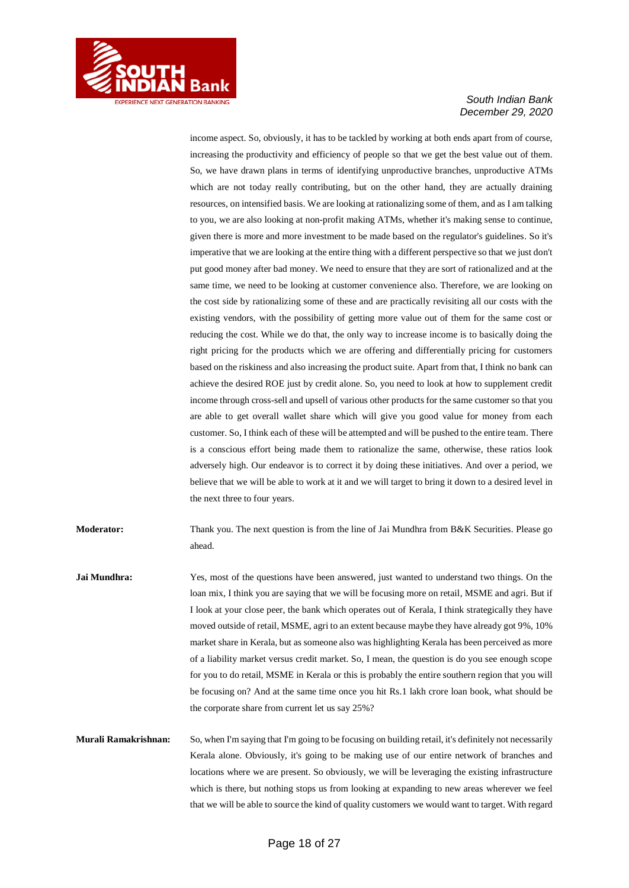

income aspect. So, obviously, it has to be tackled by working at both ends apart from of course, increasing the productivity and efficiency of people so that we get the best value out of them. So, we have drawn plans in terms of identifying unproductive branches, unproductive ATMs which are not today really contributing, but on the other hand, they are actually draining resources, on intensified basis. We are looking at rationalizing some of them, and as I am talking to you, we are also looking at non-profit making ATMs, whether it's making sense to continue, given there is more and more investment to be made based on the regulator's guidelines. So it's imperative that we are looking at the entire thing with a different perspective so that we just don't put good money after bad money. We need to ensure that they are sort of rationalized and at the same time, we need to be looking at customer convenience also. Therefore, we are looking on the cost side by rationalizing some of these and are practically revisiting all our costs with the existing vendors, with the possibility of getting more value out of them for the same cost or reducing the cost. While we do that, the only way to increase income is to basically doing the right pricing for the products which we are offering and differentially pricing for customers based on the riskiness and also increasing the product suite. Apart from that, I think no bank can achieve the desired ROE just by credit alone. So, you need to look at how to supplement credit income through cross-sell and upsell of various other products for the same customer so that you are able to get overall wallet share which will give you good value for money from each customer. So, I think each of these will be attempted and will be pushed to the entire team. There is a conscious effort being made them to rationalize the same, otherwise, these ratios look adversely high. Our endeavor is to correct it by doing these initiatives. And over a period, we believe that we will be able to work at it and we will target to bring it down to a desired level in the next three to four years.

**Moderator:** Thank you. The next question is from the line of Jai Mundhra from B&K Securities. Please go ahead.

**Jai Mundhra:** Yes, most of the questions have been answered, just wanted to understand two things. On the loan mix, I think you are saying that we will be focusing more on retail, MSME and agri. But if I look at your close peer, the bank which operates out of Kerala, I think strategically they have moved outside of retail, MSME, agri to an extent because maybe they have already got 9%, 10% market share in Kerala, but as someone also was highlighting Kerala has been perceived as more of a liability market versus credit market. So, I mean, the question is do you see enough scope for you to do retail, MSME in Kerala or this is probably the entire southern region that you will be focusing on? And at the same time once you hit Rs.1 lakh crore loan book, what should be the corporate share from current let us say 25%?

**Murali Ramakrishnan:** So, when I'm saying that I'm going to be focusing on building retail, it's definitely not necessarily Kerala alone. Obviously, it's going to be making use of our entire network of branches and locations where we are present. So obviously, we will be leveraging the existing infrastructure which is there, but nothing stops us from looking at expanding to new areas wherever we feel that we will be able to source the kind of quality customers we would want to target. With regard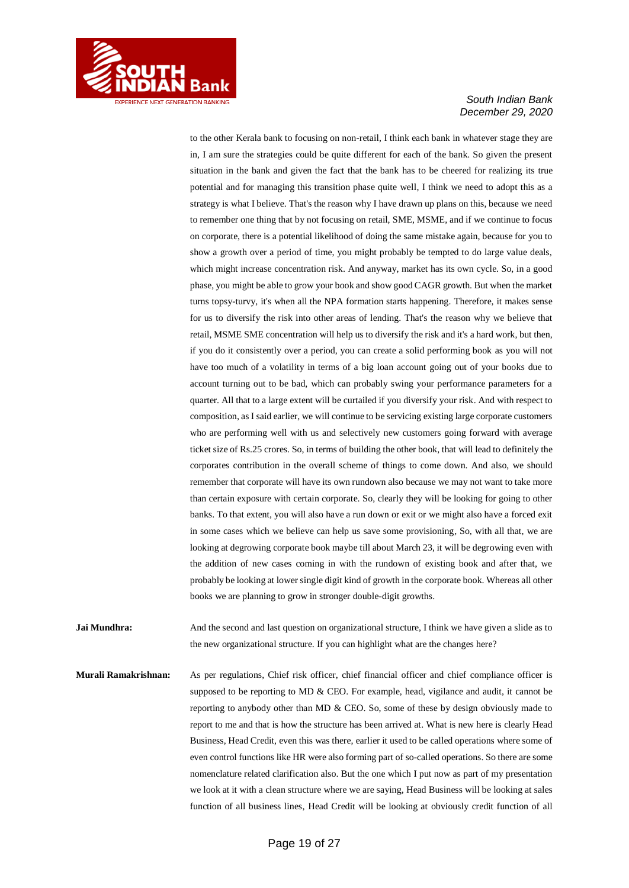

to the other Kerala bank to focusing on non-retail, I think each bank in whatever stage they are in, I am sure the strategies could be quite different for each of the bank. So given the present situation in the bank and given the fact that the bank has to be cheered for realizing its true potential and for managing this transition phase quite well, I think we need to adopt this as a strategy is what I believe. That's the reason why I have drawn up plans on this, because we need to remember one thing that by not focusing on retail, SME, MSME, and if we continue to focus on corporate, there is a potential likelihood of doing the same mistake again, because for you to show a growth over a period of time, you might probably be tempted to do large value deals, which might increase concentration risk. And anyway, market has its own cycle. So, in a good phase, you might be able to grow your book and show good CAGR growth. But when the market turns topsy-turvy, it's when all the NPA formation starts happening. Therefore, it makes sense for us to diversify the risk into other areas of lending. That's the reason why we believe that retail, MSME SME concentration will help us to diversify the risk and it's a hard work, but then, if you do it consistently over a period, you can create a solid performing book as you will not have too much of a volatility in terms of a big loan account going out of your books due to account turning out to be bad, which can probably swing your performance parameters for a quarter. All that to a large extent will be curtailed if you diversify your risk. And with respect to composition, as I said earlier, we will continue to be servicing existing large corporate customers who are performing well with us and selectively new customers going forward with average ticket size of Rs.25 crores. So, in terms of building the other book, that will lead to definitely the corporates contribution in the overall scheme of things to come down. And also, we should remember that corporate will have its own rundown also because we may not want to take more than certain exposure with certain corporate. So, clearly they will be looking for going to other banks. To that extent, you will also have a run down or exit or we might also have a forced exit in some cases which we believe can help us save some provisioning, So, with all that, we are looking at degrowing corporate book maybe till about March 23, it will be degrowing even with the addition of new cases coming in with the rundown of existing book and after that, we probably be looking at lower single digit kind of growth in the corporate book. Whereas all other books we are planning to grow in stronger double-digit growths.

**Jai Mundhra:** And the second and last question on organizational structure, I think we have given a slide as to the new organizational structure. If you can highlight what are the changes here?

**Murali Ramakrishnan:** As per regulations, Chief risk officer, chief financial officer and chief compliance officer is supposed to be reporting to MD  $&$  CEO. For example, head, vigilance and audit, it cannot be reporting to anybody other than MD & CEO. So, some of these by design obviously made to report to me and that is how the structure has been arrived at. What is new here is clearly Head Business, Head Credit, even this was there, earlier it used to be called operations where some of even control functions like HR were also forming part of so-called operations. So there are some nomenclature related clarification also. But the one which I put now as part of my presentation we look at it with a clean structure where we are saying, Head Business will be looking at sales function of all business lines, Head Credit will be looking at obviously credit function of all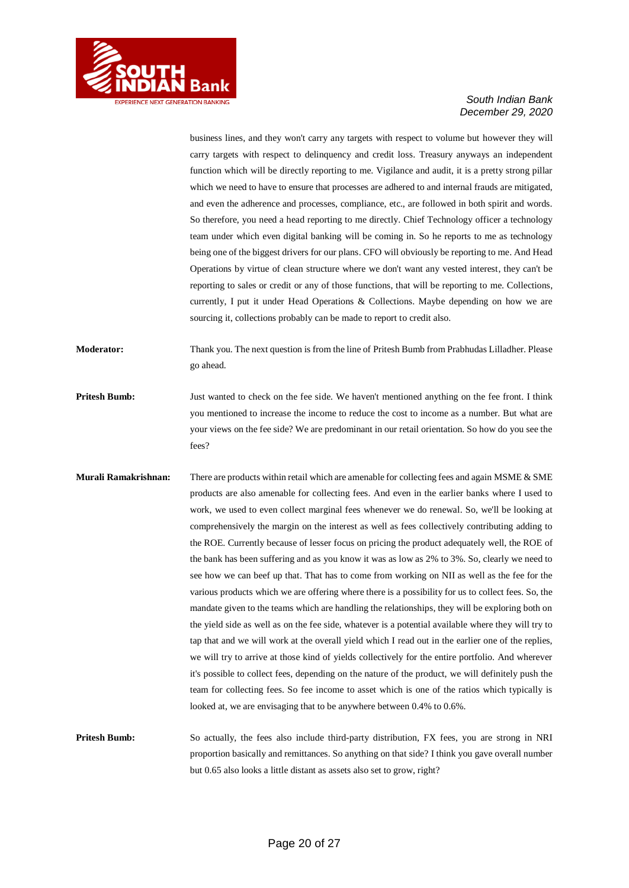

business lines, and they won't carry any targets with respect to volume but however they will carry targets with respect to delinquency and credit loss. Treasury anyways an independent function which will be directly reporting to me. Vigilance and audit, it is a pretty strong pillar which we need to have to ensure that processes are adhered to and internal frauds are mitigated, and even the adherence and processes, compliance, etc., are followed in both spirit and words. So therefore, you need a head reporting to me directly. Chief Technology officer a technology team under which even digital banking will be coming in. So he reports to me as technology being one of the biggest drivers for our plans. CFO will obviously be reporting to me. And Head Operations by virtue of clean structure where we don't want any vested interest, they can't be reporting to sales or credit or any of those functions, that will be reporting to me. Collections, currently, I put it under Head Operations & Collections. Maybe depending on how we are sourcing it, collections probably can be made to report to credit also.

**Moderator:** Thank you. The next question is from the line of Pritesh Bumb from Prabhudas Lilladher. Please go ahead.

**Pritesh Bumb:** Just wanted to check on the fee side. We haven't mentioned anything on the fee front. I think you mentioned to increase the income to reduce the cost to income as a number. But what are your views on the fee side? We are predominant in our retail orientation. So how do you see the fees?

**Murali Ramakrishnan:** There are products within retail which are amenable for collecting fees and again MSME & SME products are also amenable for collecting fees. And even in the earlier banks where I used to work, we used to even collect marginal fees whenever we do renewal. So, we'll be looking at comprehensively the margin on the interest as well as fees collectively contributing adding to the ROE. Currently because of lesser focus on pricing the product adequately well, the ROE of the bank has been suffering and as you know it was as low as 2% to 3%. So, clearly we need to see how we can beef up that. That has to come from working on NII as well as the fee for the various products which we are offering where there is a possibility for us to collect fees. So, the mandate given to the teams which are handling the relationships, they will be exploring both on the yield side as well as on the fee side, whatever is a potential available where they will try to tap that and we will work at the overall yield which I read out in the earlier one of the replies, we will try to arrive at those kind of yields collectively for the entire portfolio. And wherever it's possible to collect fees, depending on the nature of the product, we will definitely push the team for collecting fees. So fee income to asset which is one of the ratios which typically is looked at, we are envisaging that to be anywhere between 0.4% to 0.6%.

**Pritesh Bumb:** So actually, the fees also include third-party distribution, FX fees, you are strong in NRI proportion basically and remittances. So anything on that side? I think you gave overall number but 0.65 also looks a little distant as assets also set to grow, right?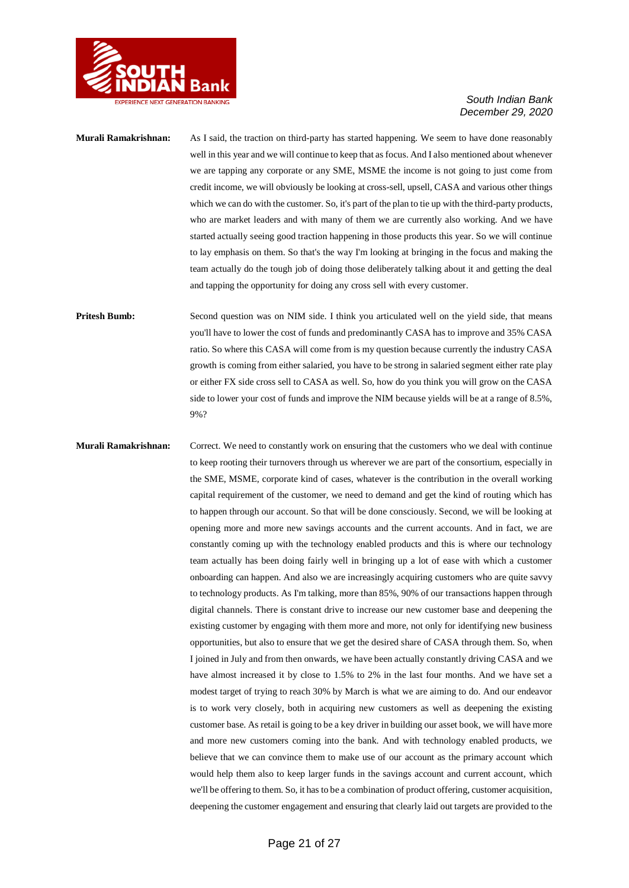

### **Murali Ramakrishnan:** As I said, the traction on third-party has started happening. We seem to have done reasonably well in this year and we will continue to keep that as focus. And I also mentioned about whenever we are tapping any corporate or any SME, MSME the income is not going to just come from credit income, we will obviously be looking at cross-sell, upsell, CASA and various other things which we can do with the customer. So, it's part of the plan to tie up with the third-party products, who are market leaders and with many of them we are currently also working. And we have started actually seeing good traction happening in those products this year. So we will continue to lay emphasis on them. So that's the way I'm looking at bringing in the focus and making the team actually do the tough job of doing those deliberately talking about it and getting the deal and tapping the opportunity for doing any cross sell with every customer.

**Pritesh Bumb:** Second question was on NIM side. I think you articulated well on the yield side, that means you'll have to lower the cost of funds and predominantly CASA has to improve and 35% CASA ratio. So where this CASA will come from is my question because currently the industry CASA growth is coming from either salaried, you have to be strong in salaried segment either rate play or either FX side cross sell to CASA as well. So, how do you think you will grow on the CASA side to lower your cost of funds and improve the NIM because yields will be at a range of 8.5%, 9%?

**Murali Ramakrishnan:** Correct. We need to constantly work on ensuring that the customers who we deal with continue to keep rooting their turnovers through us wherever we are part of the consortium, especially in the SME, MSME, corporate kind of cases, whatever is the contribution in the overall working capital requirement of the customer, we need to demand and get the kind of routing which has to happen through our account. So that will be done consciously. Second, we will be looking at opening more and more new savings accounts and the current accounts. And in fact, we are constantly coming up with the technology enabled products and this is where our technology team actually has been doing fairly well in bringing up a lot of ease with which a customer onboarding can happen. And also we are increasingly acquiring customers who are quite savvy to technology products. As I'm talking, more than 85%, 90% of our transactions happen through digital channels. There is constant drive to increase our new customer base and deepening the existing customer by engaging with them more and more, not only for identifying new business opportunities, but also to ensure that we get the desired share of CASA through them. So, when I joined in July and from then onwards, we have been actually constantly driving CASA and we have almost increased it by close to 1.5% to 2% in the last four months. And we have set a modest target of trying to reach 30% by March is what we are aiming to do. And our endeavor is to work very closely, both in acquiring new customers as well as deepening the existing customer base. As retail is going to be a key driver in building our asset book, we will have more and more new customers coming into the bank. And with technology enabled products, we believe that we can convince them to make use of our account as the primary account which would help them also to keep larger funds in the savings account and current account, which we'll be offering to them. So, it has to be a combination of product offering, customer acquisition, deepening the customer engagement and ensuring that clearly laid out targets are provided to the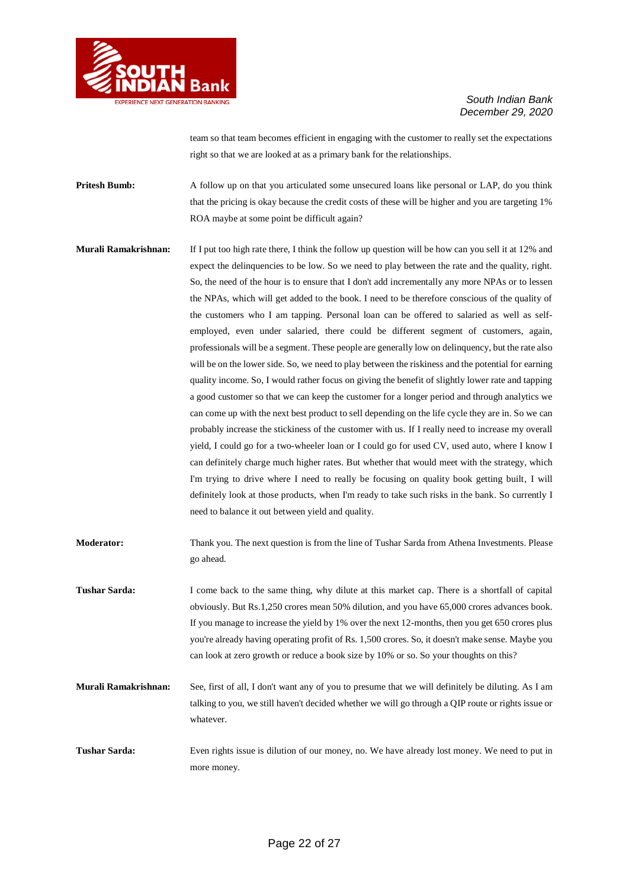

team so that team becomes efficient in engaging with the customer to really set the expectations right so that we are looked at as a primary bank for the relationships.

**Pritesh Bumb:** A follow up on that you articulated some unsecured loans like personal or LAP, do you think that the pricing is okay because the credit costs of these will be higher and you are targeting 1% ROA maybe at some point be difficult again?

- **Murali Ramakrishnan:** If I put too high rate there, I think the follow up question will be how can you sell it at 12% and expect the delinquencies to be low. So we need to play between the rate and the quality, right. So, the need of the hour is to ensure that I don't add incrementally any more NPAs or to lessen the NPAs, which will get added to the book. I need to be therefore conscious of the quality of the customers who I am tapping. Personal loan can be offered to salaried as well as selfemployed, even under salaried, there could be different segment of customers, again, professionals will be a segment. These people are generally low on delinquency, but the rate also will be on the lower side. So, we need to play between the riskiness and the potential for earning quality income. So, I would rather focus on giving the benefit of slightly lower rate and tapping a good customer so that we can keep the customer for a longer period and through analytics we can come up with the next best product to sell depending on the life cycle they are in. So we can probably increase the stickiness of the customer with us. If I really need to increase my overall yield, I could go for a two-wheeler loan or I could go for used CV, used auto, where I know I can definitely charge much higher rates. But whether that would meet with the strategy, which I'm trying to drive where I need to really be focusing on quality book getting built, I will definitely look at those products, when I'm ready to take such risks in the bank. So currently I need to balance it out between yield and quality.
- **Moderator:** Thank you. The next question is from the line of Tushar Sarda from Athena Investments. Please go ahead.
- **Tushar Sarda:** I come back to the same thing, why dilute at this market cap. There is a shortfall of capital obviously. But Rs.1,250 crores mean 50% dilution, and you have 65,000 crores advances book. If you manage to increase the yield by 1% over the next 12-months, then you get 650 crores plus you're already having operating profit of Rs. 1,500 crores. So, it doesn't make sense. Maybe you can look at zero growth or reduce a book size by 10% or so. So your thoughts on this?
- **Murali Ramakrishnan:** See, first of all, I don't want any of you to presume that we will definitely be diluting. As I am talking to you, we still haven't decided whether we will go through a QIP route or rights issue or whatever.
- **Tushar Sarda:** Even rights issue is dilution of our money, no. We have already lost money. We need to put in more money.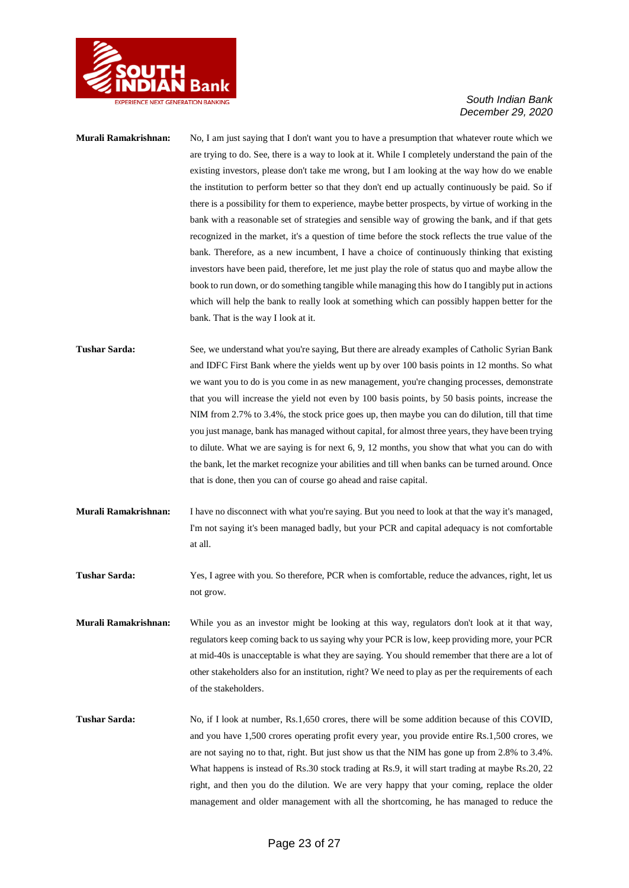

### **Murali Ramakrishnan:** No, I am just saying that I don't want you to have a presumption that whatever route which we are trying to do. See, there is a way to look at it. While I completely understand the pain of the existing investors, please don't take me wrong, but I am looking at the way how do we enable the institution to perform better so that they don't end up actually continuously be paid. So if there is a possibility for them to experience, maybe better prospects, by virtue of working in the bank with a reasonable set of strategies and sensible way of growing the bank, and if that gets recognized in the market, it's a question of time before the stock reflects the true value of the bank. Therefore, as a new incumbent, I have a choice of continuously thinking that existing investors have been paid, therefore, let me just play the role of status quo and maybe allow the book to run down, or do something tangible while managing this how do I tangibly put in actions which will help the bank to really look at something which can possibly happen better for the bank. That is the way I look at it. Tushar Sarda: See, we understand what you're saying, But there are already examples of Catholic Syrian Bank and IDFC First Bank where the yields went up by over 100 basis points in 12 months. So what we want you to do is you come in as new management, you're changing processes, demonstrate that you will increase the yield not even by 100 basis points, by 50 basis points, increase the NIM from 2.7% to 3.4%, the stock price goes up, then maybe you can do dilution, till that time you just manage, bank has managed without capital, for almost three years, they have been trying to dilute. What we are saying is for next 6, 9, 12 months, you show that what you can do with the bank, let the market recognize your abilities and till when banks can be turned around. Once that is done, then you can of course go ahead and raise capital. **Murali Ramakrishnan:** I have no disconnect with what you're saying. But you need to look at that the way it's managed, I'm not saying it's been managed badly, but your PCR and capital adequacy is not comfortable at all. **Tushar Sarda:** Yes, I agree with you. So therefore, PCR when is comfortable, reduce the advances, right, let us not grow.

**Murali Ramakrishnan:** While you as an investor might be looking at this way, regulators don't look at it that way, regulators keep coming back to us saying why your PCR is low, keep providing more, your PCR at mid-40s is unacceptable is what they are saying. You should remember that there are a lot of other stakeholders also for an institution, right? We need to play as per the requirements of each of the stakeholders.

**Tushar Sarda:** No, if I look at number, Rs.1,650 crores, there will be some addition because of this COVID, and you have 1,500 crores operating profit every year, you provide entire Rs.1,500 crores, we are not saying no to that, right. But just show us that the NIM has gone up from 2.8% to 3.4%. What happens is instead of Rs.30 stock trading at Rs.9, it will start trading at maybe Rs.20, 22 right, and then you do the dilution. We are very happy that your coming, replace the older management and older management with all the shortcoming, he has managed to reduce the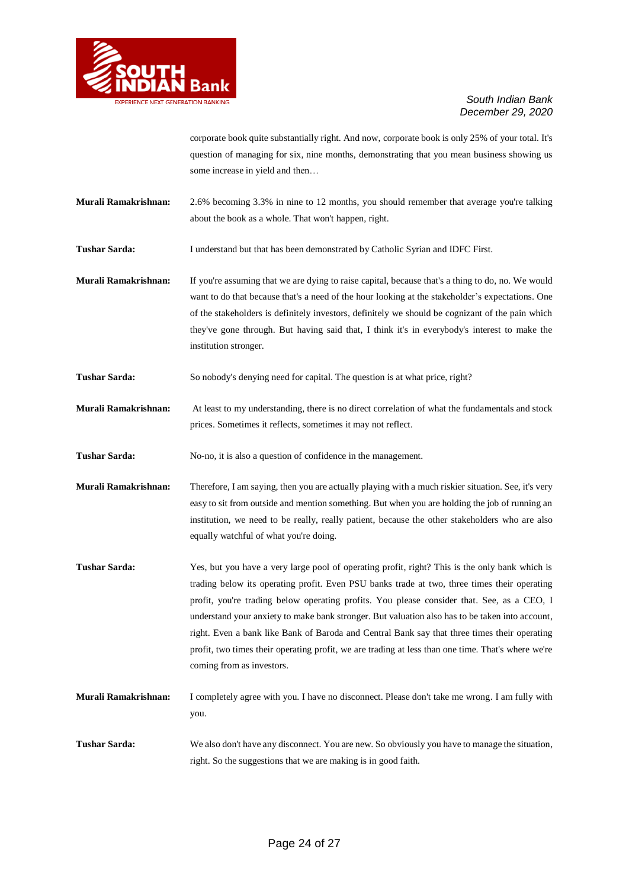

corporate book quite substantially right. And now, corporate book is only 25% of your total. It's question of managing for six, nine months, demonstrating that you mean business showing us some increase in yield and then…

**Murali Ramakrishnan:** 2.6% becoming 3.3% in nine to 12 months, you should remember that average you're talking about the book as a whole. That won't happen, right.

**Tushar Sarda:** I understand but that has been demonstrated by Catholic Syrian and IDFC First.

**Murali Ramakrishnan:** If you're assuming that we are dying to raise capital, because that's a thing to do, no. We would want to do that because that's a need of the hour looking at the stakeholder's expectations. One of the stakeholders is definitely investors, definitely we should be cognizant of the pain which they've gone through. But having said that, I think it's in everybody's interest to make the institution stronger.

**Tushar Sarda:** So nobody's denying need for capital. The question is at what price, right?

**Murali Ramakrishnan:** At least to my understanding, there is no direct correlation of what the fundamentals and stock prices. Sometimes it reflects, sometimes it may not reflect.

**Tushar Sarda:** No-no, it is also a question of confidence in the management.

**Murali Ramakrishnan:** Therefore, I am saying, then you are actually playing with a much riskier situation. See, it's very easy to sit from outside and mention something. But when you are holding the job of running an institution, we need to be really, really patient, because the other stakeholders who are also equally watchful of what you're doing.

**Tushar Sarda:** Yes, but you have a very large pool of operating profit, right? This is the only bank which is trading below its operating profit. Even PSU banks trade at two, three times their operating profit, you're trading below operating profits. You please consider that. See, as a CEO, I understand your anxiety to make bank stronger. But valuation also has to be taken into account, right. Even a bank like Bank of Baroda and Central Bank say that three times their operating profit, two times their operating profit, we are trading at less than one time. That's where we're coming from as investors.

**Murali Ramakrishnan:** I completely agree with you. I have no disconnect. Please don't take me wrong. I am fully with you.

**Tushar Sarda:** We also don't have any disconnect. You are new. So obviously you have to manage the situation, right. So the suggestions that we are making is in good faith.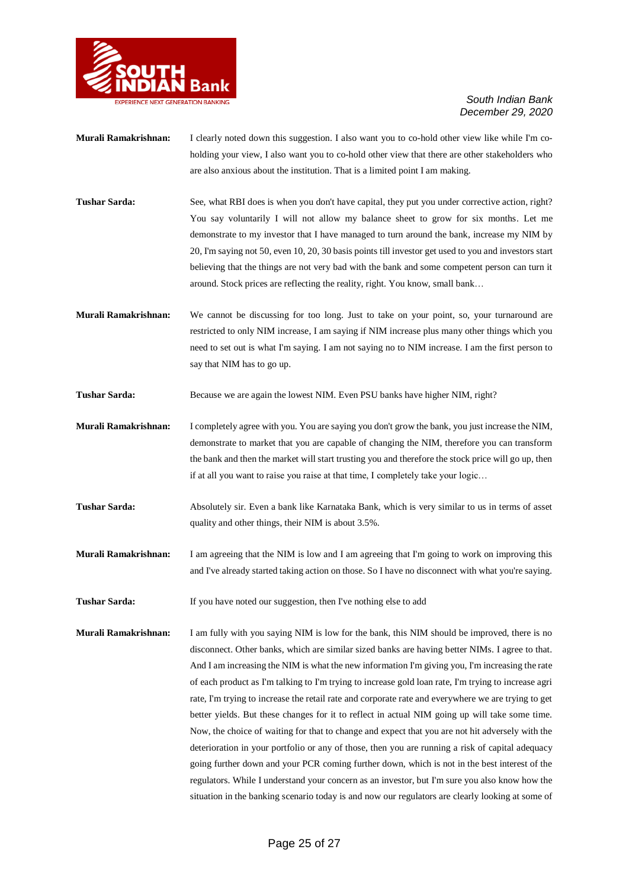

- **Murali Ramakrishnan:** I clearly noted down this suggestion. I also want you to co-hold other view like while I'm coholding your view, I also want you to co-hold other view that there are other stakeholders who are also anxious about the institution. That is a limited point I am making.
- **Tushar Sarda:** See, what RBI does is when you don't have capital, they put you under corrective action, right? You say voluntarily I will not allow my balance sheet to grow for six months. Let me demonstrate to my investor that I have managed to turn around the bank, increase my NIM by 20, I'm saying not 50, even 10, 20, 30 basis points till investor get used to you and investors start believing that the things are not very bad with the bank and some competent person can turn it around. Stock prices are reflecting the reality, right. You know, small bank…
- **Murali Ramakrishnan:** We cannot be discussing for too long. Just to take on your point, so, your turnaround are restricted to only NIM increase, I am saying if NIM increase plus many other things which you need to set out is what I'm saying. I am not saying no to NIM increase. I am the first person to say that NIM has to go up.
- Tushar Sarda: Because we are again the lowest NIM. Even PSU banks have higher NIM, right?
- **Murali Ramakrishnan:** I completely agree with you. You are saying you don't grow the bank, you just increase the NIM, demonstrate to market that you are capable of changing the NIM, therefore you can transform the bank and then the market will start trusting you and therefore the stock price will go up, then if at all you want to raise you raise at that time, I completely take your logic…
- **Tushar Sarda:** Absolutely sir. Even a bank like Karnataka Bank, which is very similar to us in terms of asset quality and other things, their NIM is about 3.5%.
- **Murali Ramakrishnan:** I am agreeing that the NIM is low and I am agreeing that I'm going to work on improving this and I've already started taking action on those. So I have no disconnect with what you're saying.
- **Tushar Sarda:** If you have noted our suggestion, then I've nothing else to add
- **Murali Ramakrishnan:** I am fully with you saying NIM is low for the bank, this NIM should be improved, there is no disconnect. Other banks, which are similar sized banks are having better NIMs. I agree to that. And I am increasing the NIM is what the new information I'm giving you, I'm increasing the rate of each product as I'm talking to I'm trying to increase gold loan rate, I'm trying to increase agri rate, I'm trying to increase the retail rate and corporate rate and everywhere we are trying to get better yields. But these changes for it to reflect in actual NIM going up will take some time. Now, the choice of waiting for that to change and expect that you are not hit adversely with the deterioration in your portfolio or any of those, then you are running a risk of capital adequacy going further down and your PCR coming further down, which is not in the best interest of the regulators. While I understand your concern as an investor, but I'm sure you also know how the situation in the banking scenario today is and now our regulators are clearly looking at some of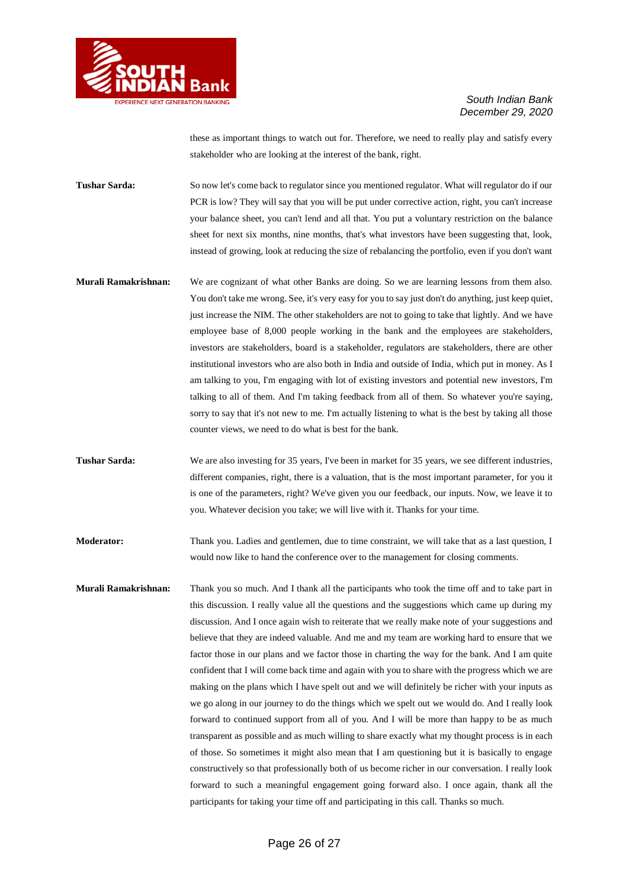

these as important things to watch out for. Therefore, we need to really play and satisfy every stakeholder who are looking at the interest of the bank, right.

**Tushar Sarda:** So now let's come back to regulator since you mentioned regulator. What will regulator do if our PCR is low? They will say that you will be put under corrective action, right, you can't increase your balance sheet, you can't lend and all that. You put a voluntary restriction on the balance sheet for next six months, nine months, that's what investors have been suggesting that, look, instead of growing, look at reducing the size of rebalancing the portfolio, even if you don't want

- **Murali Ramakrishnan:** We are cognizant of what other Banks are doing. So we are learning lessons from them also. You don't take me wrong. See, it's very easy for you to say just don't do anything, just keep quiet, just increase the NIM. The other stakeholders are not to going to take that lightly. And we have employee base of 8,000 people working in the bank and the employees are stakeholders, investors are stakeholders, board is a stakeholder, regulators are stakeholders, there are other institutional investors who are also both in India and outside of India, which put in money. As I am talking to you, I'm engaging with lot of existing investors and potential new investors, I'm talking to all of them. And I'm taking feedback from all of them. So whatever you're saying, sorry to say that it's not new to me. I'm actually listening to what is the best by taking all those counter views, we need to do what is best for the bank.
- **Tushar Sarda:** We are also investing for 35 years, I've been in market for 35 years, we see different industries, different companies, right, there is a valuation, that is the most important parameter, for you it is one of the parameters, right? We've given you our feedback, our inputs. Now, we leave it to you. Whatever decision you take; we will live with it. Thanks for your time.

**Moderator:** Thank you. Ladies and gentlemen, due to time constraint, we will take that as a last question, I would now like to hand the conference over to the management for closing comments.

**Murali Ramakrishnan:** Thank you so much. And I thank all the participants who took the time off and to take part in this discussion. I really value all the questions and the suggestions which came up during my discussion. And I once again wish to reiterate that we really make note of your suggestions and believe that they are indeed valuable. And me and my team are working hard to ensure that we factor those in our plans and we factor those in charting the way for the bank. And I am quite confident that I will come back time and again with you to share with the progress which we are making on the plans which I have spelt out and we will definitely be richer with your inputs as we go along in our journey to do the things which we spelt out we would do. And I really look forward to continued support from all of you. And I will be more than happy to be as much transparent as possible and as much willing to share exactly what my thought process is in each of those. So sometimes it might also mean that I am questioning but it is basically to engage constructively so that professionally both of us become richer in our conversation. I really look forward to such a meaningful engagement going forward also. I once again, thank all the participants for taking your time off and participating in this call. Thanks so much.